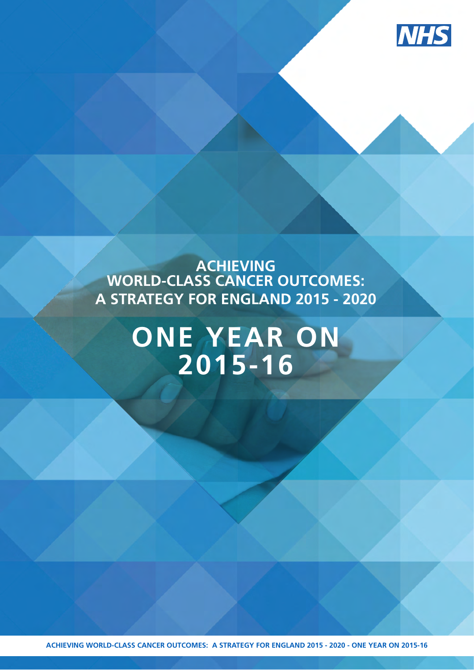

## **ACHIEVING WORLD-CLASS CANCER OUTCOMES: A STRATEGY FOR ENGLAND 2015 - 2020**

## **ONE YEAR ON 2015-16**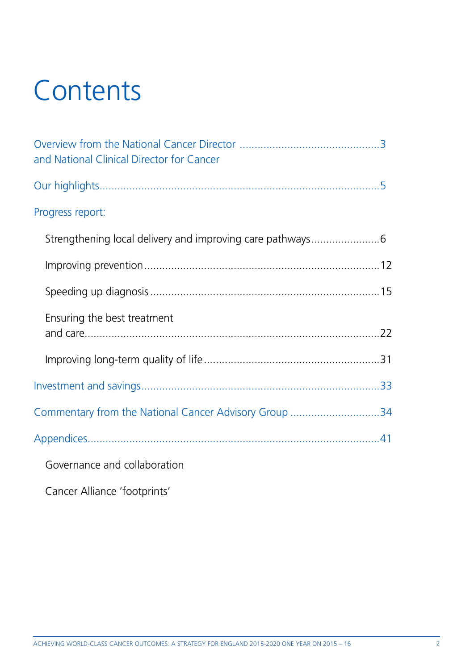# **Contents**

| and National Clinical Director for Cancer             |  |
|-------------------------------------------------------|--|
|                                                       |  |
| Progress report:                                      |  |
|                                                       |  |
|                                                       |  |
|                                                       |  |
| Ensuring the best treatment                           |  |
|                                                       |  |
|                                                       |  |
| Commentary from the National Cancer Advisory Group 34 |  |
|                                                       |  |
| Governance and collaboration                          |  |

Cancer Alliance 'footprints'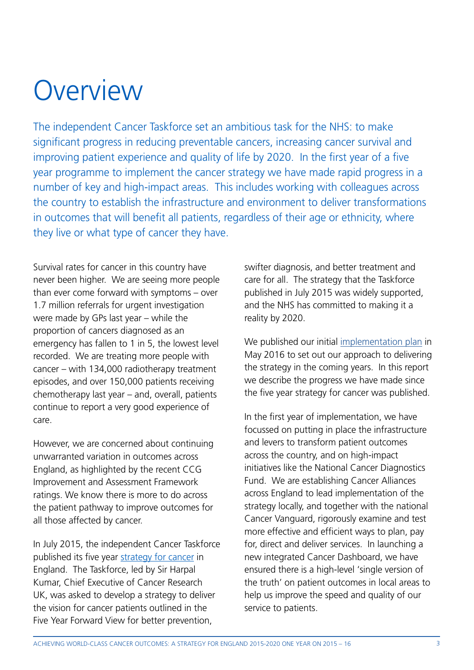## <span id="page-2-0"></span>**Overview**

The independent Cancer Taskforce set an ambitious task for the NHS: to make significant progress in reducing preventable cancers, increasing cancer survival and improving patient experience and quality of life by 2020. In the first year of a five year programme to implement the cancer strategy we have made rapid progress in a number of key and high-impact areas. This includes working with colleagues across the country to establish the infrastructure and environment to deliver transformations in outcomes that will benefit all patients, regardless of their age or ethnicity, where they live or what type of cancer they have.

Survival rates for cancer in this country have never been higher. We are seeing more people than ever come forward with symptoms – over 1.7 million referrals for urgent investigation were made by GPs last year – while the proportion of cancers diagnosed as an emergency has fallen to 1 in 5, the lowest level recorded. We are treating more people with cancer – with 134,000 radiotherapy treatment episodes, and over 150,000 patients receiving chemotherapy last year – and, overall, patients continue to report a very good experience of care.

However, we are concerned about continuing unwarranted variation in outcomes across England, as highlighted by the recent CCG Improvement and Assessment Framework ratings. We know there is more to do across the patient pathway to improve outcomes for all those affected by cancer.

In July 2015, the independent Cancer Taskforce published its five year [strategy for cancer](http://www.cancerresearchuk.org/sites/default/files/achieving_world-class_cancer_outcomes_-_a_strategy_for_england_2015-2020.pdf) in England. The Taskforce, led by Sir Harpal Kumar, Chief Executive of Cancer Research UK, was asked to develop a strategy to deliver the vision for cancer patients outlined in the Five Year Forward View for better prevention,

swifter diagnosis, and better treatment and care for all. The strategy that the Taskforce published in July 2015 was widely supported, and the NHS has committed to making it a reality by 2020.

We published our initial [implementation plan](https://www.england.nhs.uk/wp-content/uploads/2016/05/cancer-strategy.pdf) in May 2016 to set out our approach to delivering the strategy in the coming years. In this report we describe the progress we have made since the five year strategy for cancer was published.

In the first year of implementation, we have focussed on putting in place the infrastructure and levers to transform patient outcomes across the country, and on high-impact initiatives like the National Cancer Diagnostics Fund. We are establishing Cancer Alliances across England to lead implementation of the strategy locally, and together with the national Cancer Vanguard, rigorously examine and test more effective and efficient ways to plan, pay for, direct and deliver services. In launching a new integrated Cancer Dashboard, we have ensured there is a high-level 'single version of the truth' on patient outcomes in local areas to help us improve the speed and quality of our service to patients.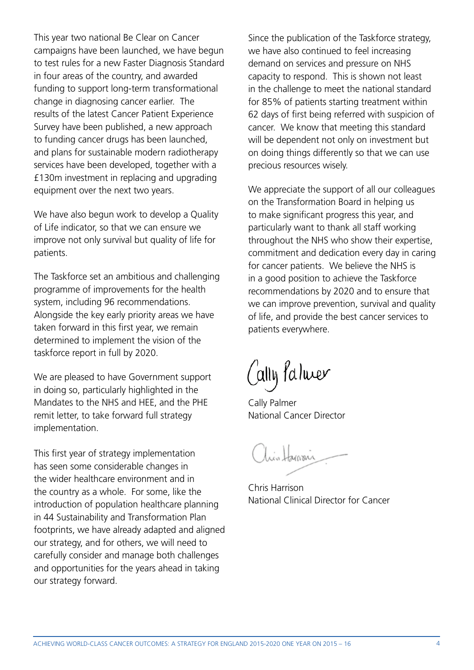This year two national Be Clear on Cancer campaigns have been launched, we have begun to test rules for a new Faster Diagnosis Standard in four areas of the country, and awarded funding to support long-term transformational change in diagnosing cancer earlier. The results of the latest Cancer Patient Experience Survey have been published, a new approach to funding cancer drugs has been launched, and plans for sustainable modern radiotherapy services have been developed, together with a £130m investment in replacing and upgrading equipment over the next two years.

We have also begun work to develop a Quality of Life indicator, so that we can ensure we improve not only survival but quality of life for patients.

The Taskforce set an ambitious and challenging programme of improvements for the health system, including 96 recommendations. Alongside the key early priority areas we have taken forward in this first year, we remain determined to implement the vision of the taskforce report in full by 2020.

We are pleased to have Government support in doing so, particularly highlighted in the Mandates to the NHS and HEE, and the PHE remit letter, to take forward full strategy implementation.

This first year of strategy implementation has seen some considerable changes in the wider healthcare environment and in the country as a whole. For some, like the introduction of population healthcare planning in 44 Sustainability and Transformation Plan footprints, we have already adapted and aligned our strategy, and for others, we will need to carefully consider and manage both challenges and opportunities for the years ahead in taking our strategy forward.

Since the publication of the Taskforce strategy, we have also continued to feel increasing demand on services and pressure on NHS capacity to respond. This is shown not least in the challenge to meet the national standard for 85% of patients starting treatment within 62 days of first being referred with suspicion of cancer. We know that meeting this standard will be dependent not only on investment but on doing things differently so that we can use precious resources wisely.

We appreciate the support of all our colleagues on the Transformation Board in helping us to make significant progress this year, and particularly want to thank all staff working throughout the NHS who show their expertise, commitment and dedication every day in caring for cancer patients. We believe the NHS is in a good position to achieve the Taskforce recommendations by 2020 and to ensure that we can improve prevention, survival and quality of life, and provide the best cancer services to patients everywhere.

Cally falwer

Cally Palmer National Cancer Director

lin Harnari

Chris Harrison National Clinical Director for Cancer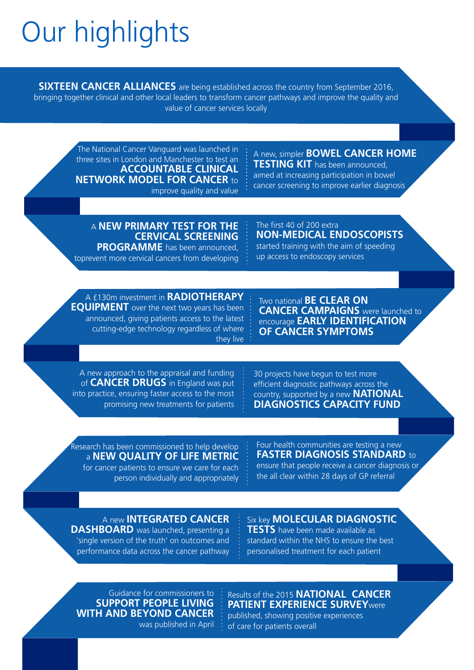# <span id="page-4-0"></span>Our highlights

**SIXTEEN CANCER ALLIANCES** are being established across the country from September 2016, bringing together clinical and other local leaders to transform cancer pathways and improve the quality and value of cancer services locally

> The National Cancer Vanguard was launched in three sites in London and Manchester to test an **ACCOUNTABLE CLINICAL NETWORK MODEL FOR CANCER** to improve quality and value

### A new, simpler **BOWEL CANCER HOME**

**TESTING KIT** has been announced, aimed at increasing participation in bowel cancer screening to improve earlier diagnosis

#### A **NEW PRIMARY TEST FOR THE CERVICAL SCREENING**

**PROGRAMME** has been announced, toprevent more cervical cancers from developing The first 40 of 200 extra **NON-MEDICAL ENDOSCOPISTS**  started training with the aim of speeding up access to endoscopy services

A £130m investment in **RADIOTHERAPY EQUIPMENT** over the next two years has been announced, giving patients access to the latest cutting-edge technology regardless of where they live

Two national **BE CLEAR ON CANCER CAMPAIGNS** were launched to encourage **EARLY IDENTIFICATION OF CANCER SYMPTOMS**

A new approach to the appraisal and funding of **CANCER DRUGS** in England was put into practice, ensuring faster access to the most promising new treatments for patients

30 projects have begun to test more efficient diagnostic pathways across the country, supported by a new **NATIONAL DIAGNOSTICS CAPACITY FUND** 

#### Research has been commissioned to help develop a **NEW QUALITY OF LIFE METRIC**

for cancer patients to ensure we care for each person individually and appropriately

#### Four health communities are testing a new **FASTER DIAGNOSIS STANDARD** to

ensure that people receive a cancer diagnosis or the all clear within 28 days of GP referral

#### A new **INTEGRATED CANCER**

**DASHBOARD** was launched, presenting a 'single version of the truth' on outcomes and performance data across the cancer pathway

#### Six key **MOLECULAR DIAGNOSTIC**

**TESTS** have been made available as standard within the NHS to ensure the best personalised treatment for each patient

Guidance for commissioners to **SUPPORT PEOPLE LIVING WITH AND BEYOND CANCER** was published in April

#### Results of the 2015 **NATIONAL CANCER PATIENT EXPERIENCE SURVEY**were

published, showing positive experiences of care for patients overall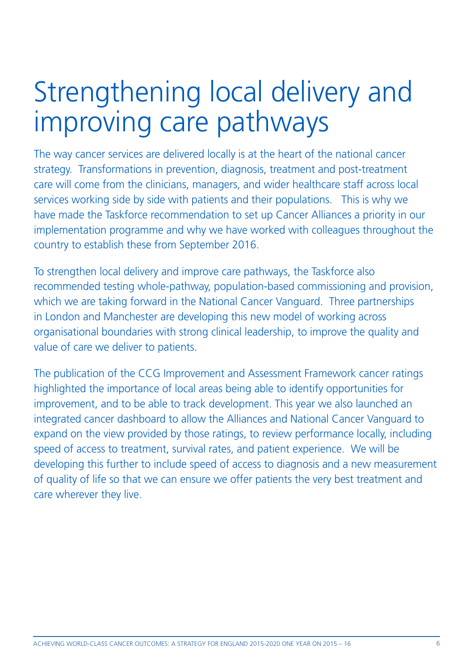## <span id="page-5-0"></span>Strengthening local delivery and improving care pathways

The way cancer services are delivered locally is at the heart of the national cancer strategy. Transformations in prevention, diagnosis, treatment and post-treatment care will come from the clinicians, managers, and wider healthcare staff across local services working side by side with patients and their populations. This is why we have made the Taskforce recommendation to set up Cancer Alliances a priority in our implementation programme and why we have worked with colleagues throughout the country to establish these from September 2016.

To strengthen local delivery and improve care pathways, the Taskforce also recommended testing whole-pathway, population-based commissioning and provision, which we are taking forward in the National Cancer Vanguard. Three partnerships in London and Manchester are developing this new model of working across organisational boundaries with strong clinical leadership, to improve the quality and value of care we deliver to patients.

The publication of the CCG Improvement and Assessment Framework cancer ratings highlighted the importance of local areas being able to identify opportunities for improvement, and to be able to track development. This year we also launched an integrated cancer dashboard to allow the Alliances and National Cancer Vanguard to expand on the view provided by those ratings, to review performance locally, including speed of access to treatment, survival rates, and patient experience. We will be developing this further to include speed of access to diagnosis and a new measurement of quality of life so that we can ensure we offer patients the very best treatment and care wherever they live.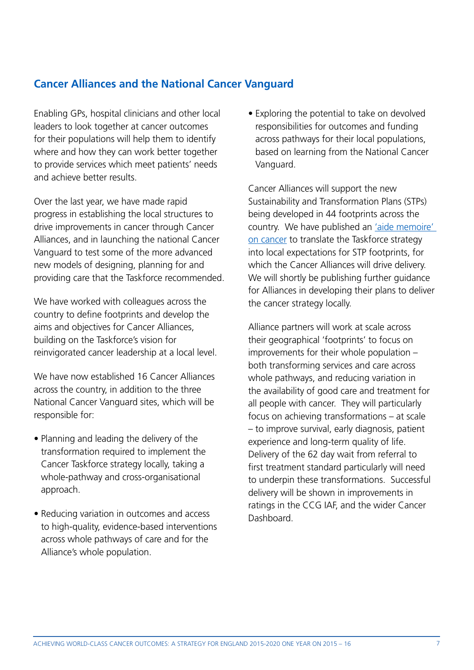## **Cancer Alliances and the National Cancer Vanguard**

Enabling GPs, hospital clinicians and other local leaders to look together at cancer outcomes for their populations will help them to identify where and how they can work better together to provide services which meet patients' needs and achieve better results.

Over the last year, we have made rapid progress in establishing the local structures to drive improvements in cancer through Cancer Alliances, and in launching the national Cancer Vanguard to test some of the more advanced new models of designing, planning for and providing care that the Taskforce recommended.

We have worked with colleagues across the country to define footprints and develop the aims and objectives for Cancer Alliances, building on the Taskforce's vision for reinvigorated cancer leadership at a local level.

We have now established 16 Cancer Alliances across the country, in addition to the three National Cancer Vanguard sites, which will be responsible for:

- Planning and leading the delivery of the transformation required to implement the Cancer Taskforce strategy locally, taking a whole-pathway and cross-organisational approach.
- Reducing variation in outcomes and access to high-quality, evidence-based interventions across whole pathways of care and for the Alliance's whole population.

• Exploring the potential to take on devolved responsibilities for outcomes and funding across pathways for their local populations, based on learning from the National Cancer Vanguard.

Cancer Alliances will support the new Sustainability and Transformation Plans (STPs) being developed in 44 footprints across the country. We have published an ['aide memoire'](https://www.england.nhs.uk/wp-content/uploads/2016/05/stp-aide-memoire-cancer.pdf)  [on cancer](https://www.england.nhs.uk/wp-content/uploads/2016/05/stp-aide-memoire-cancer.pdf) to translate the Taskforce strategy into local expectations for STP footprints, for which the Cancer Alliances will drive delivery. We will shortly be publishing further quidance for Alliances in developing their plans to deliver the cancer strategy locally.

Alliance partners will work at scale across their geographical 'footprints' to focus on improvements for their whole population – both transforming services and care across whole pathways, and reducing variation in the availability of good care and treatment for all people with cancer. They will particularly focus on achieving transformations – at scale – to improve survival, early diagnosis, patient experience and long-term quality of life. Delivery of the 62 day wait from referral to first treatment standard particularly will need to underpin these transformations. Successful delivery will be shown in improvements in ratings in the CCG IAF, and the wider Cancer Dashboard.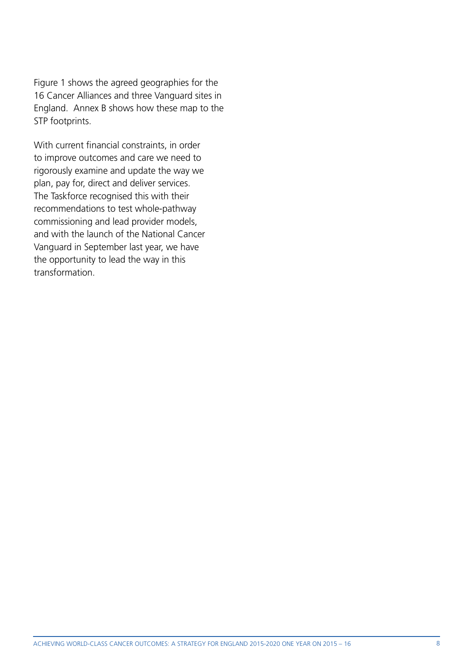Figure 1 shows the agreed geographies for the 16 Cancer Alliances and three Vanguard sites in England. Annex B shows how these map to the STP footprints.

With current financial constraints, in order to improve outcomes and care we need to rigorously examine and update the way we plan, pay for, direct and deliver services. The Taskforce recognised this with their recommendations to test whole-pathway commissioning and lead provider models, and with the launch of the National Cancer Vanguard in September last year, we have the opportunity to lead the way in this transformation.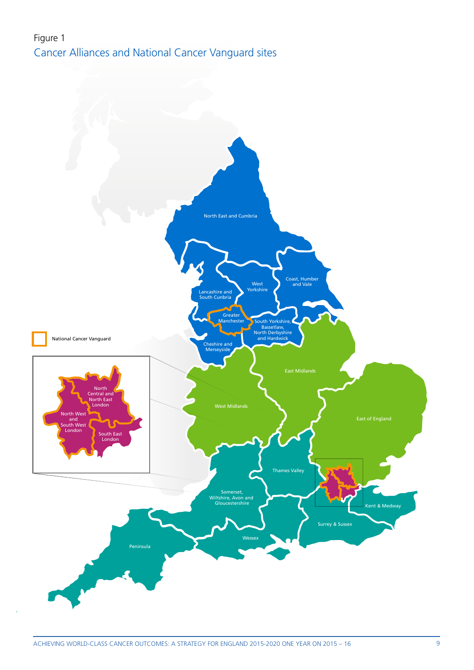## Figure 1 Cancer Alliances and National Cancer Vanguard sites

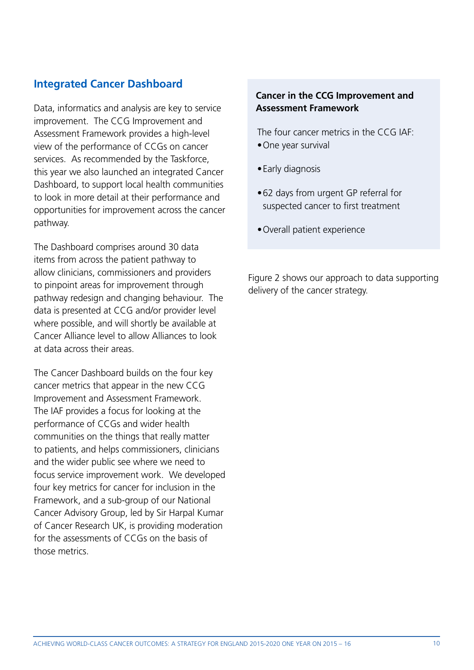## **Integrated Cancer Dashboard**

Data, informatics and analysis are key to service improvement. The CCG Improvement and Assessment Framework provides a high-level view of the performance of CCGs on cancer services. As recommended by the Taskforce, this year we also launched an integrated Cancer Dashboard, to support local health communities to look in more detail at their performance and opportunities for improvement across the cancer pathway.

The Dashboard comprises around 30 data items from across the patient pathway to allow clinicians, commissioners and providers to pinpoint areas for improvement through pathway redesign and changing behaviour. The data is presented at CCG and/or provider level where possible, and will shortly be available at Cancer Alliance level to allow Alliances to look at data across their areas.

The Cancer Dashboard builds on the four key cancer metrics that appear in the new CCG Improvement and Assessment Framework. The IAF provides a focus for looking at the performance of CCGs and wider health communities on the things that really matter to patients, and helps commissioners, clinicians and the wider public see where we need to focus service improvement work. We developed four key metrics for cancer for inclusion in the Framework, and a sub-group of our National Cancer Advisory Group, led by Sir Harpal Kumar of Cancer Research UK, is providing moderation for the assessments of CCGs on the basis of those metrics.

#### **Cancer in the CCG Improvement and Assessment Framework**

The four cancer metrics in the CCG IAF:

- •One year survival
- •Early diagnosis
- 62 days from urgent GP referral for suspected cancer to first treatment
- •Overall patient experience

Figure 2 shows our approach to data supporting delivery of the cancer strategy.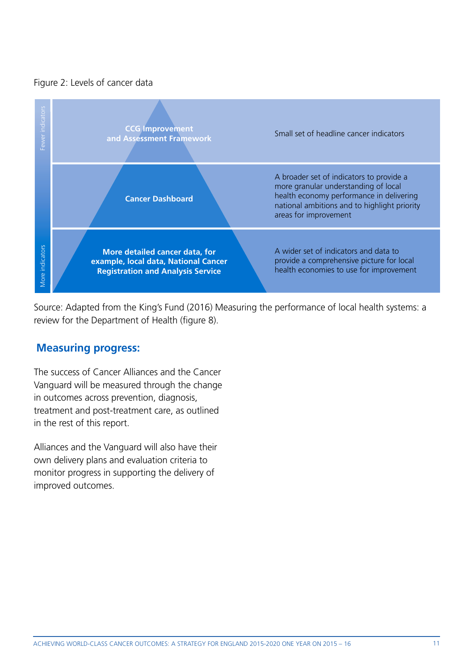#### Figure 2: Levels of cancer data



Source: Adapted from the King's Fund (2016) Measuring the performance of local health systems: a review for the Department of Health (figure 8).

### **Measuring progress:**

The success of Cancer Alliances and the Cancer Vanguard will be measured through the change in outcomes across prevention, diagnosis, treatment and post-treatment care, as outlined in the rest of this report.

Alliances and the Vanguard will also have their own delivery plans and evaluation criteria to monitor progress in supporting the delivery of improved outcomes.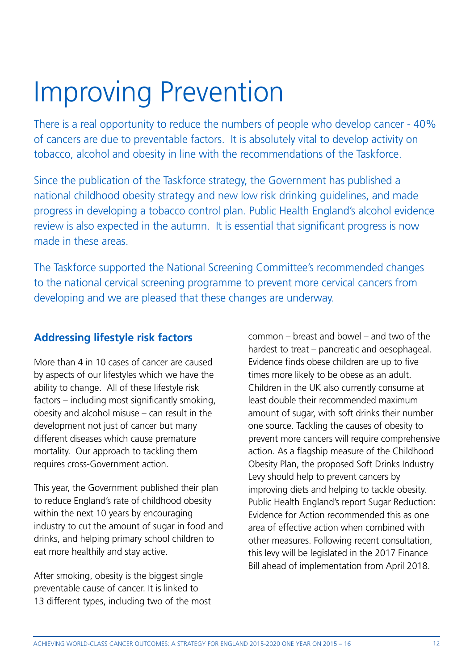# <span id="page-11-0"></span>Improving Prevention

There is a real opportunity to reduce the numbers of people who develop cancer - 40% of cancers are due to preventable factors. It is absolutely vital to develop activity on tobacco, alcohol and obesity in line with the recommendations of the Taskforce.

Since the publication of the Taskforce strategy, the Government has published a national childhood obesity strategy and new low risk drinking guidelines, and made progress in developing a tobacco control plan. Public Health England's alcohol evidence review is also expected in the autumn. It is essential that significant progress is now made in these areas.

The Taskforce supported the National Screening Committee's recommended changes to the national cervical screening programme to prevent more cervical cancers from developing and we are pleased that these changes are underway.

## **Addressing lifestyle risk factors**

More than 4 in 10 cases of cancer are caused by aspects of our lifestyles which we have the ability to change. All of these lifestyle risk factors – including most significantly smoking, obesity and alcohol misuse – can result in the development not just of cancer but many different diseases which cause premature mortality. Our approach to tackling them requires cross-Government action.

This year, the Government published their plan to reduce England's rate of childhood obesity within the next 10 years by encouraging industry to cut the amount of sugar in food and drinks, and helping primary school children to eat more healthily and stay active.

After smoking, obesity is the biggest single preventable cause of cancer. It is linked to 13 different types, including two of the most common – breast and bowel – and two of the hardest to treat – pancreatic and oesophageal. Evidence finds obese children are up to five times more likely to be obese as an adult. Children in the UK also currently consume at least double their recommended maximum amount of sugar, with soft drinks their number one source. Tackling the causes of obesity to prevent more cancers will require comprehensive action. As a flagship measure of the Childhood Obesity Plan, the proposed Soft Drinks Industry Levy should help to prevent cancers by improving diets and helping to tackle obesity. Public Health England's report Sugar Reduction: Evidence for Action recommended this as one area of effective action when combined with other measures. Following recent consultation, this levy will be legislated in the 2017 Finance Bill ahead of implementation from April 2018.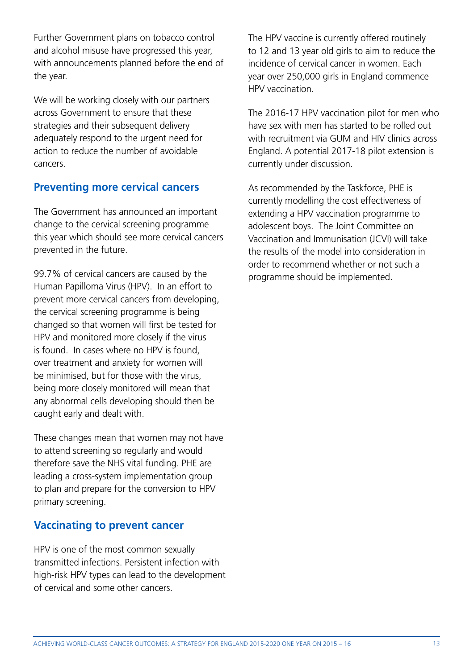Further Government plans on tobacco control and alcohol misuse have progressed this year, with announcements planned before the end of the year.

We will be working closely with our partners across Government to ensure that these strategies and their subsequent delivery adequately respond to the urgent need for action to reduce the number of avoidable cancers.

### **Preventing more cervical cancers**

The Government has announced an important change to the cervical screening programme this year which should see more cervical cancers prevented in the future.

99.7% of cervical cancers are caused by the Human Papilloma Virus (HPV). In an effort to prevent more cervical cancers from developing, the cervical screening programme is being changed so that women will first be tested for HPV and monitored more closely if the virus is found. In cases where no HPV is found, over treatment and anxiety for women will be minimised, but for those with the virus, being more closely monitored will mean that any abnormal cells developing should then be caught early and dealt with.

These changes mean that women may not have to attend screening so regularly and would therefore save the NHS vital funding. PHE are leading a cross-system implementation group to plan and prepare for the conversion to HPV primary screening.

### **Vaccinating to prevent cancer**

HPV is one of the most common sexually transmitted infections. Persistent infection with high-risk HPV types can lead to the development of cervical and some other cancers.

The HPV vaccine is currently offered routinely to 12 and 13 year old girls to aim to reduce the incidence of cervical cancer in women. Each year over 250,000 girls in England commence HPV vaccination.

The 2016-17 HPV vaccination pilot for men who have sex with men has started to be rolled out with recruitment via GUM and HIV clinics across England. A potential 2017-18 pilot extension is currently under discussion.

As recommended by the Taskforce, PHE is currently modelling the cost effectiveness of extending a HPV vaccination programme to adolescent boys. The Joint Committee on Vaccination and Immunisation (JCVI) will take the results of the model into consideration in order to recommend whether or not such a programme should be implemented.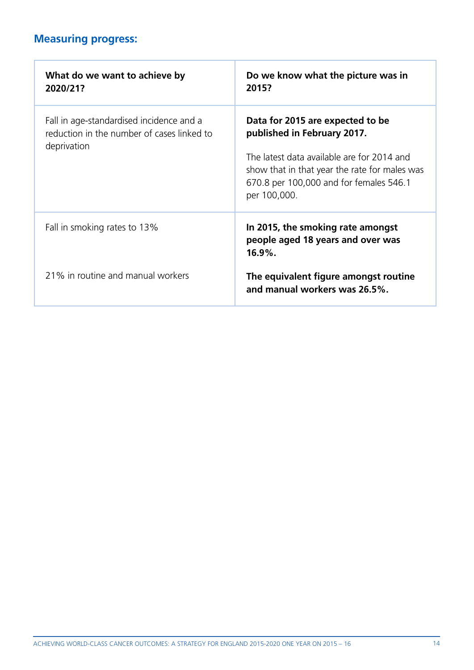## **Measuring progress:**

| What do we want to achieve by<br>2020/21?                                                             | Do we know what the picture was in<br>2015?                                                                                                                                                                               |
|-------------------------------------------------------------------------------------------------------|---------------------------------------------------------------------------------------------------------------------------------------------------------------------------------------------------------------------------|
| Fall in age-standardised incidence and a<br>reduction in the number of cases linked to<br>deprivation | Data for 2015 are expected to be<br>published in February 2017.<br>The latest data available are for 2014 and<br>show that in that year the rate for males was<br>670.8 per 100,000 and for females 546.1<br>per 100,000. |
| Fall in smoking rates to 13%                                                                          | In 2015, the smoking rate amongst<br>people aged 18 years and over was<br>$16.9\%$ .                                                                                                                                      |
| 21% in routine and manual workers                                                                     | The equivalent figure amongst routine<br>and manual workers was 26.5%.                                                                                                                                                    |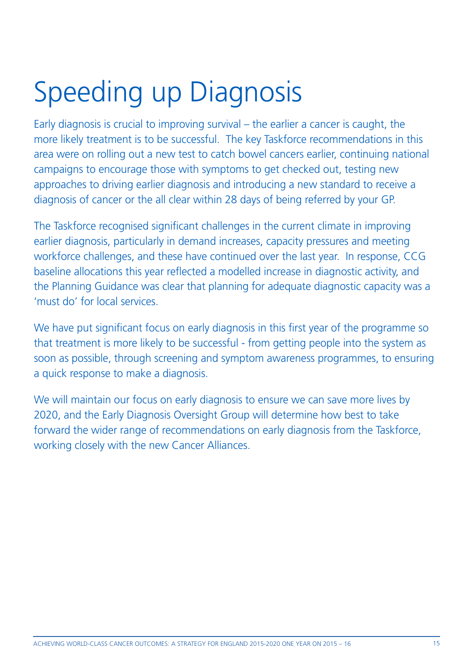# <span id="page-14-0"></span>Speeding up Diagnosis

Early diagnosis is crucial to improving survival – the earlier a cancer is caught, the more likely treatment is to be successful. The key Taskforce recommendations in this area were on rolling out a new test to catch bowel cancers earlier, continuing national campaigns to encourage those with symptoms to get checked out, testing new approaches to driving earlier diagnosis and introducing a new standard to receive a diagnosis of cancer or the all clear within 28 days of being referred by your GP.

The Taskforce recognised significant challenges in the current climate in improving earlier diagnosis, particularly in demand increases, capacity pressures and meeting workforce challenges, and these have continued over the last year. In response, CCG baseline allocations this year reflected a modelled increase in diagnostic activity, and the Planning Guidance was clear that planning for adequate diagnostic capacity was a 'must do' for local services.

We have put significant focus on early diagnosis in this first year of the programme so that treatment is more likely to be successful - from getting people into the system as soon as possible, through screening and symptom awareness programmes, to ensuring a quick response to make a diagnosis.

We will maintain our focus on early diagnosis to ensure we can save more lives by 2020, and the Early Diagnosis Oversight Group will determine how best to take forward the wider range of recommendations on early diagnosis from the Taskforce, working closely with the new Cancer Alliances.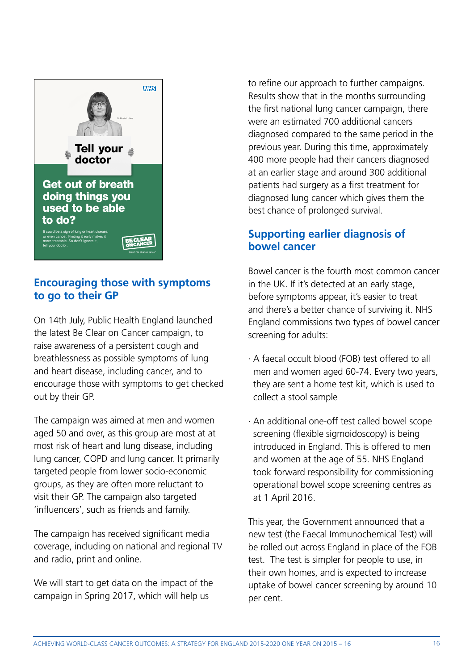

#### **Encouraging those with symptoms to go to their GP**

On 14th July, Public Health England launched the latest Be Clear on Cancer campaign, to raise awareness of a persistent cough and breathlessness as possible symptoms of lung and heart disease, including cancer, and to encourage those with symptoms to get checked out by their GP.

The campaign was aimed at men and women aged 50 and over, as this group are most at at most risk of heart and lung disease, including lung cancer, COPD and lung cancer. It primarily targeted people from lower socio-economic groups, as they are often more reluctant to visit their GP. The campaign also targeted 'influencers', such as friends and family.

The campaign has received significant media coverage, including on national and regional TV and radio, print and online.

We will start to get data on the impact of the campaign in Spring 2017, which will help us

to refine our approach to further campaigns. Results show that in the months surrounding the first national lung cancer campaign, there were an estimated 700 additional cancers diagnosed compared to the same period in the previous year. During this time, approximately 400 more people had their cancers diagnosed at an earlier stage and around 300 additional patients had surgery as a first treatment for diagnosed lung cancer which gives them the best chance of prolonged survival.

## **Supporting earlier diagnosis of bowel cancer**

Bowel cancer is the fourth most common cancer in the UK. If it's detected at an early stage, before symptoms appear, it's easier to treat and there's a better chance of surviving it. NHS England commissions two types of bowel cancer screening for adults:

- · A faecal occult blood (FOB) test offered to all men and women aged 60-74. Every two years, they are sent a home test kit, which is used to collect a stool sample
- · An additional one-off test called bowel scope screening (flexible sigmoidoscopy) is being introduced in England. This is offered to men and women at the age of 55. NHS England took forward responsibility for commissioning operational bowel scope screening centres as at 1 April 2016.

This year, the Government announced that a new test (the Faecal Immunochemical Test) will be rolled out across England in place of the FOB test. The test is simpler for people to use, in their own homes, and is expected to increase uptake of bowel cancer screening by around 10 per cent.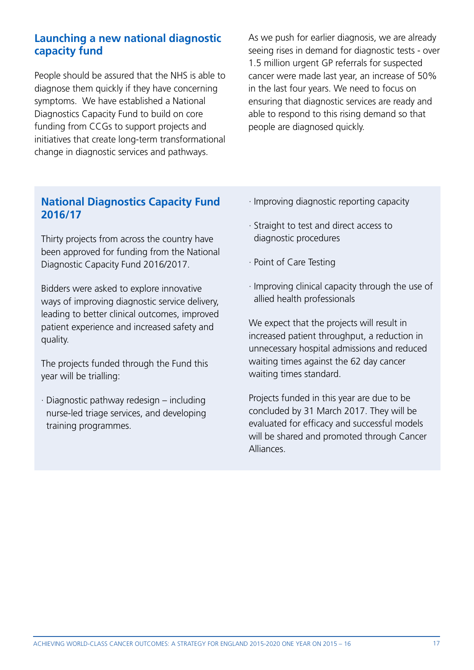### **Launching a new national diagnostic capacity fund**

People should be assured that the NHS is able to diagnose them quickly if they have concerning symptoms. We have established a National Diagnostics Capacity Fund to build on core funding from CCGs to support projects and initiatives that create long-term transformational change in diagnostic services and pathways.

As we push for earlier diagnosis, we are already seeing rises in demand for diagnostic tests - over 1.5 million urgent GP referrals for suspected cancer were made last year, an increase of 50% in the last four years. We need to focus on ensuring that diagnostic services are ready and able to respond to this rising demand so that people are diagnosed quickly.

#### **National Diagnostics Capacity Fund 2016/17**

Thirty projects from across the country have been approved for funding from the National Diagnostic Capacity Fund 2016/2017.

Bidders were asked to explore innovative ways of improving diagnostic service delivery, leading to better clinical outcomes, improved patient experience and increased safety and quality.

The projects funded through the Fund this year will be trialling:

· Diagnostic pathway redesign – including nurse-led triage services, and developing training programmes.

- · Improving diagnostic reporting capacity
- · Straight to test and direct access to diagnostic procedures
- · Point of Care Testing
- · Improving clinical capacity through the use of allied health professionals

We expect that the projects will result in increased patient throughput, a reduction in unnecessary hospital admissions and reduced waiting times against the 62 day cancer waiting times standard.

Projects funded in this year are due to be concluded by 31 March 2017. They will be evaluated for efficacy and successful models will be shared and promoted through Cancer Alliances.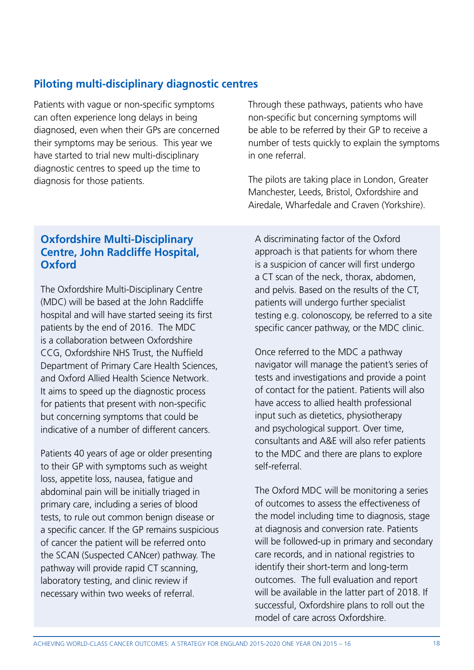## **Piloting multi-disciplinary diagnostic centres**

Patients with vague or non-specific symptoms can often experience long delays in being diagnosed, even when their GPs are concerned their symptoms may be serious. This year we have started to trial new multi-disciplinary diagnostic centres to speed up the time to diagnosis for those patients.

Through these pathways, patients who have non-specific but concerning symptoms will be able to be referred by their GP to receive a number of tests quickly to explain the symptoms in one referral.

The pilots are taking place in London, Greater Manchester, Leeds, Bristol, Oxfordshire and Airedale, Wharfedale and Craven (Yorkshire).

## **Oxfordshire Multi-Disciplinary Centre, John Radcliffe Hospital, Oxford**

The Oxfordshire Multi-Disciplinary Centre (MDC) will be based at the John Radcliffe hospital and will have started seeing its first patients by the end of 2016. The MDC is a collaboration between Oxfordshire CCG, Oxfordshire NHS Trust, the Nuffield Department of Primary Care Health Sciences, and Oxford Allied Health Science Network. It aims to speed up the diagnostic process for patients that present with non-specific but concerning symptoms that could be indicative of a number of different cancers.

Patients 40 years of age or older presenting to their GP with symptoms such as weight loss, appetite loss, nausea, fatigue and abdominal pain will be initially triaged in primary care, including a series of blood tests, to rule out common benign disease or a specific cancer. If the GP remains suspicious of cancer the patient will be referred onto the SCAN (Suspected CANcer) pathway. The pathway will provide rapid CT scanning, laboratory testing, and clinic review if necessary within two weeks of referral.

A discriminating factor of the Oxford approach is that patients for whom there is a suspicion of cancer will first undergo a CT scan of the neck, thorax, abdomen, and pelvis. Based on the results of the CT, patients will undergo further specialist testing e.g. colonoscopy, be referred to a site specific cancer pathway, or the MDC clinic.

Once referred to the MDC a pathway navigator will manage the patient's series of tests and investigations and provide a point of contact for the patient. Patients will also have access to allied health professional input such as dietetics, physiotherapy and psychological support. Over time, consultants and A&E will also refer patients to the MDC and there are plans to explore self-referral.

The Oxford MDC will be monitoring a series of outcomes to assess the effectiveness of the model including time to diagnosis, stage at diagnosis and conversion rate. Patients will be followed-up in primary and secondary care records, and in national registries to identify their short-term and long-term outcomes. The full evaluation and report will be available in the latter part of 2018. If successful, Oxfordshire plans to roll out the model of care across Oxfordshire.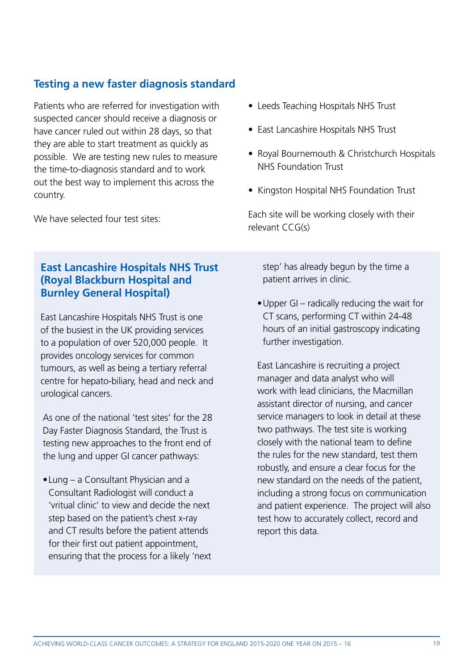## **Testing a new faster diagnosis standard**

Patients who are referred for investigation with suspected cancer should receive a diagnosis or have cancer ruled out within 28 days, so that they are able to start treatment as quickly as possible. We are testing new rules to measure the time-to-diagnosis standard and to work out the best way to implement this across the country.

We have selected four test sites:

- Leeds Teaching Hospitals NHS Trust
- East Lancashire Hospitals NHS Trust
- Royal Bournemouth & Christchurch Hospitals NHS Foundation Trust
- Kingston Hospital NHS Foundation Trust

Each site will be working closely with their relevant CCG(s)

### **East Lancashire Hospitals NHS Trust (Royal Blackburn Hospital and Burnley General Hospital)**

East Lancashire Hospitals NHS Trust is one of the busiest in the UK providing services to a population of over 520,000 people. It provides oncology services for common tumours, as well as being a tertiary referral centre for hepato-biliary, head and neck and urological cancers.

As one of the national 'test sites' for the 28 Day Faster Diagnosis Standard, the Trust is testing new approaches to the front end of the lung and upper GI cancer pathways:

• Lung – a Consultant Physician and a Consultant Radiologist will conduct a 'vritual clinic' to view and decide the next step based on the patient's chest x-ray and CT results before the patient attends for their first out patient appointment, ensuring that the process for a likely 'next step' has already begun by the time a patient arrives in clinic.

• Upper GI – radically reducing the wait for CT scans, performing CT within 24-48 hours of an initial gastroscopy indicating further investigation.

East Lancashire is recruiting a project manager and data analyst who will work with lead clinicians, the Macmillan assistant director of nursing, and cancer service managers to look in detail at these two pathways. The test site is working closely with the national team to define the rules for the new standard, test them robustly, and ensure a clear focus for the new standard on the needs of the patient, including a strong focus on communication and patient experience. The project will also test how to accurately collect, record and report this data.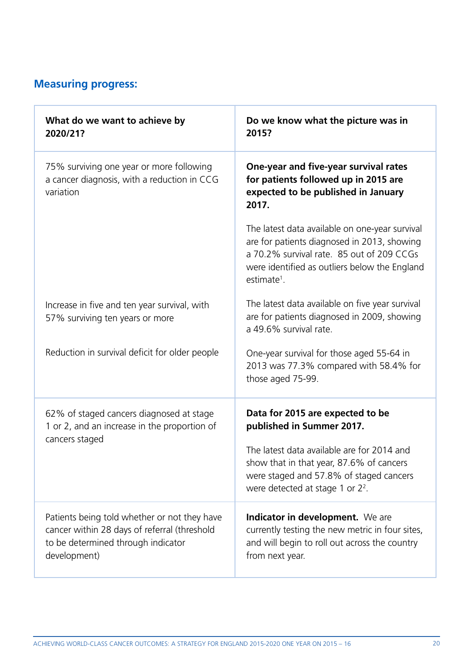## **Measuring progress:**

| What do we want to achieve by<br>2020/21?                                                                                                          | Do we know what the picture was in<br>2015?                                                                                                                                                                  |
|----------------------------------------------------------------------------------------------------------------------------------------------------|--------------------------------------------------------------------------------------------------------------------------------------------------------------------------------------------------------------|
| 75% surviving one year or more following<br>a cancer diagnosis, with a reduction in CCG<br>variation                                               | One-year and five-year survival rates<br>for patients followed up in 2015 are<br>expected to be published in January<br>2017.                                                                                |
|                                                                                                                                                    | The latest data available on one-year survival<br>are for patients diagnosed in 2013, showing<br>a 70.2% survival rate. 85 out of 209 CCGs<br>were identified as outliers below the England<br>$estimate1$ . |
| Increase in five and ten year survival, with<br>57% surviving ten years or more                                                                    | The latest data available on five year survival<br>are for patients diagnosed in 2009, showing<br>a 49.6% survival rate.                                                                                     |
| Reduction in survival deficit for older people                                                                                                     | One-year survival for those aged 55-64 in<br>2013 was 77.3% compared with 58.4% for<br>those aged 75-99.                                                                                                     |
| 62% of staged cancers diagnosed at stage<br>1 or 2, and an increase in the proportion of<br>cancers staged                                         | Data for 2015 are expected to be<br>published in Summer 2017.                                                                                                                                                |
|                                                                                                                                                    | The latest data available are for 2014 and<br>show that in that year, 87.6% of cancers<br>were staged and 57.8% of staged cancers<br>were detected at stage 1 or $2^2$ .                                     |
| Patients being told whether or not they have<br>cancer within 28 days of referral (threshold<br>to be determined through indicator<br>development) | Indicator in development. We are<br>currently testing the new metric in four sites,<br>and will begin to roll out across the country<br>from next year.                                                      |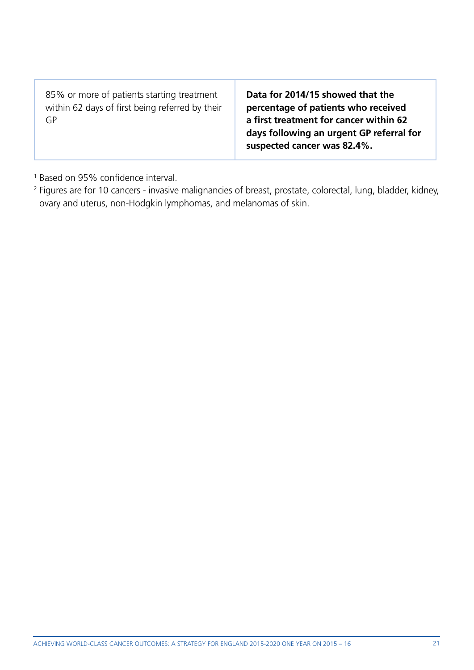| 85% or more of patients starting treatment<br>within 62 days of first being referred by their<br>GP | Data for 2014/15 showed that the<br>percentage of patients who received<br>a first treatment for cancer within 62<br>days following an urgent GP referral for<br>suspected cancer was 82.4%. |
|-----------------------------------------------------------------------------------------------------|----------------------------------------------------------------------------------------------------------------------------------------------------------------------------------------------|
|-----------------------------------------------------------------------------------------------------|----------------------------------------------------------------------------------------------------------------------------------------------------------------------------------------------|

1 Based on 95% confidence interval.

<sup>2</sup> Figures are for 10 cancers - invasive malignancies of breast, prostate, colorectal, lung, bladder, kidney, ovary and uterus, non-Hodgkin lymphomas, and melanomas of skin.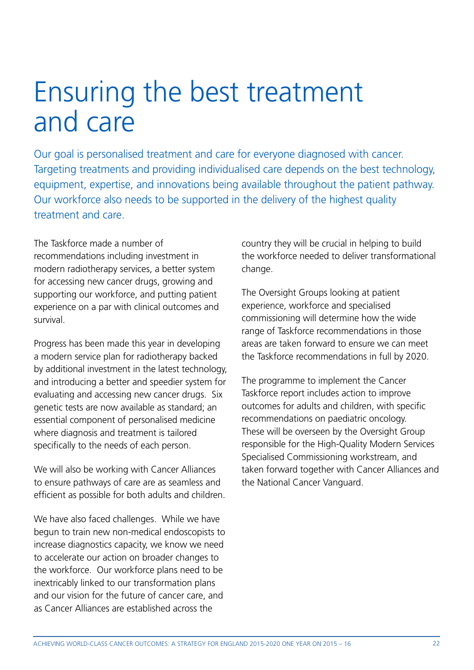## <span id="page-21-0"></span>Ensuring the best treatment and care

Our goal is personalised treatment and care for everyone diagnosed with cancer. Targeting treatments and providing individualised care depends on the best technology, equipment, expertise, and innovations being available throughout the patient pathway. Our workforce also needs to be supported in the delivery of the highest quality treatment and care.

The Taskforce made a number of recommendations including investment in modern radiotherapy services, a better system for accessing new cancer drugs, growing and supporting our workforce, and putting patient experience on a par with clinical outcomes and survival.

Progress has been made this year in developing a modern service plan for radiotherapy backed by additional investment in the latest technology, and introducing a better and speedier system for evaluating and accessing new cancer drugs. Six genetic tests are now available as standard; an essential component of personalised medicine where diagnosis and treatment is tailored specifically to the needs of each person.

We will also be working with Cancer Alliances to ensure pathways of care are as seamless and efficient as possible for both adults and children.

We have also faced challenges. While we have begun to train new non-medical endoscopists to increase diagnostics capacity, we know we need to accelerate our action on broader changes to the workforce. Our workforce plans need to be inextricably linked to our transformation plans and our vision for the future of cancer care, and as Cancer Alliances are established across the

country they will be crucial in helping to build the workforce needed to deliver transformational change.

The Oversight Groups looking at patient experience, workforce and specialised commissioning will determine how the wide range of Taskforce recommendations in those areas are taken forward to ensure we can meet the Taskforce recommendations in full by 2020.

The programme to implement the Cancer Taskforce report includes action to improve outcomes for adults and children, with specific recommendations on paediatric oncology. These will be overseen by the Oversight Group responsible for the High-Quality Modern Services Specialised Commissioning workstream, and taken forward together with Cancer Alliances and the National Cancer Vanguard.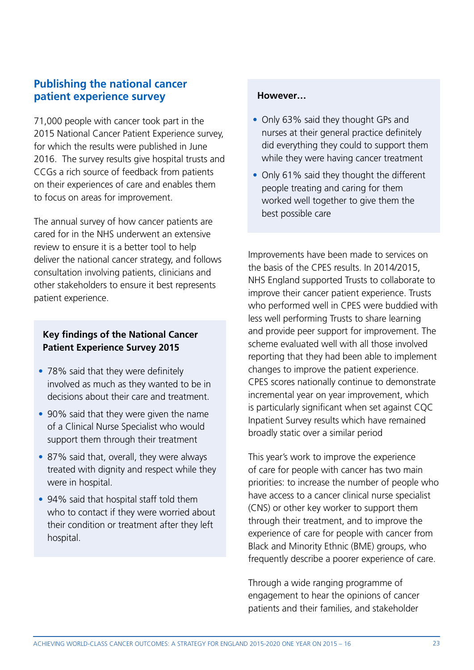## **Publishing the national cancer patient experience survey**

71,000 people with cancer took part in the 2015 National Cancer Patient Experience survey, for which the results were published in June 2016. The survey results give hospital trusts and CCGs a rich source of feedback from patients on their experiences of care and enables them to focus on areas for improvement.

The annual survey of how cancer patients are cared for in the NHS underwent an extensive review to ensure it is a better tool to help deliver the national cancer strategy, and follows consultation involving patients, clinicians and other stakeholders to ensure it best represents patient experience.

#### **Key findings of the National Cancer Patient Experience Survey 2015**

- 78% said that they were definitely involved as much as they wanted to be in decisions about their care and treatment.
- 90% said that they were given the name of a Clinical Nurse Specialist who would support them through their treatment
- 87% said that, overall, they were always treated with dignity and respect while they were in hospital.
- 94% said that hospital staff told them who to contact if they were worried about their condition or treatment after they left hospital.

#### **However…**

- Only 63% said they thought GPs and nurses at their general practice definitely did everything they could to support them while they were having cancer treatment
- Only 61% said they thought the different people treating and caring for them worked well together to give them the best possible care

Improvements have been made to services on the basis of the CPES results. In 2014/2015, NHS England supported Trusts to collaborate to improve their cancer patient experience. Trusts who performed well in CPES were buddied with less well performing Trusts to share learning and provide peer support for improvement. The scheme evaluated well with all those involved reporting that they had been able to implement changes to improve the patient experience. CPES scores nationally continue to demonstrate incremental year on year improvement, which is particularly significant when set against CQC Inpatient Survey results which have remained broadly static over a similar period

This year's work to improve the experience of care for people with cancer has two main priorities: to increase the number of people who have access to a cancer clinical nurse specialist (CNS) or other key worker to support them through their treatment, and to improve the experience of care for people with cancer from Black and Minority Ethnic (BME) groups, who frequently describe a poorer experience of care.

Through a wide ranging programme of engagement to hear the opinions of cancer patients and their families, and stakeholder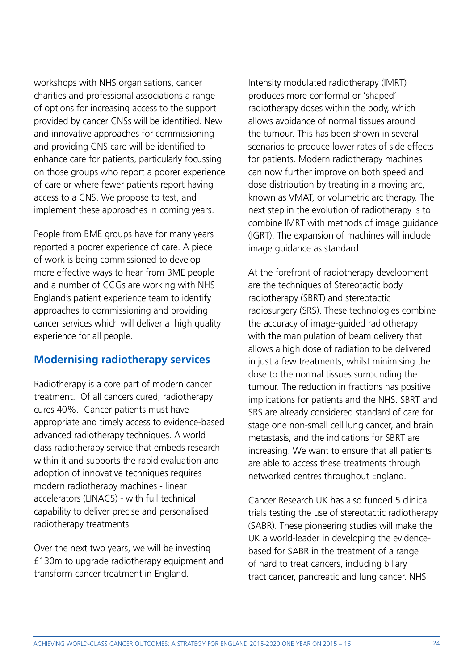workshops with NHS organisations, cancer charities and professional associations a range of options for increasing access to the support provided by cancer CNSs will be identified. New and innovative approaches for commissioning and providing CNS care will be identified to enhance care for patients, particularly focussing on those groups who report a poorer experience of care or where fewer patients report having access to a CNS. We propose to test, and implement these approaches in coming years.

People from BME groups have for many years reported a poorer experience of care. A piece of work is being commissioned to develop more effective ways to hear from BME people and a number of CCGs are working with NHS England's patient experience team to identify approaches to commissioning and providing cancer services which will deliver a high quality experience for all people.

### **Modernising radiotherapy services**

Radiotherapy is a core part of modern cancer treatment. Of all cancers cured, radiotherapy cures 40%. Cancer patients must have appropriate and timely access to evidence-based advanced radiotherapy techniques. A world class radiotherapy service that embeds research within it and supports the rapid evaluation and adoption of innovative techniques requires modern radiotherapy machines - linear accelerators (LINACS) - with full technical capability to deliver precise and personalised radiotherapy treatments.

Over the next two years, we will be investing £130m to upgrade radiotherapy equipment and transform cancer treatment in England.

Intensity modulated radiotherapy (IMRT) produces more conformal or 'shaped' radiotherapy doses within the body, which allows avoidance of normal tissues around the tumour. This has been shown in several scenarios to produce lower rates of side effects for patients. Modern radiotherapy machines can now further improve on both speed and dose distribution by treating in a moving arc, known as VMAT, or volumetric arc therapy. The next step in the evolution of radiotherapy is to combine IMRT with methods of image guidance (IGRT). The expansion of machines will include image guidance as standard.

At the forefront of radiotherapy development are the techniques of Stereotactic body radiotherapy (SBRT) and stereotactic radiosurgery (SRS). These technologies combine the accuracy of image-guided radiotherapy with the manipulation of beam delivery that allows a high dose of radiation to be delivered in just a few treatments, whilst minimising the dose to the normal tissues surrounding the tumour. The reduction in fractions has positive implications for patients and the NHS. SBRT and SRS are already considered standard of care for stage one non-small cell lung cancer, and brain metastasis, and the indications for SBRT are increasing. We want to ensure that all patients are able to access these treatments through networked centres throughout England.

Cancer Research UK has also funded 5 clinical trials testing the use of stereotactic radiotherapy (SABR). These pioneering studies will make the UK a world-leader in developing the evidencebased for SABR in the treatment of a range of hard to treat cancers, including biliary tract cancer, pancreatic and lung cancer. NHS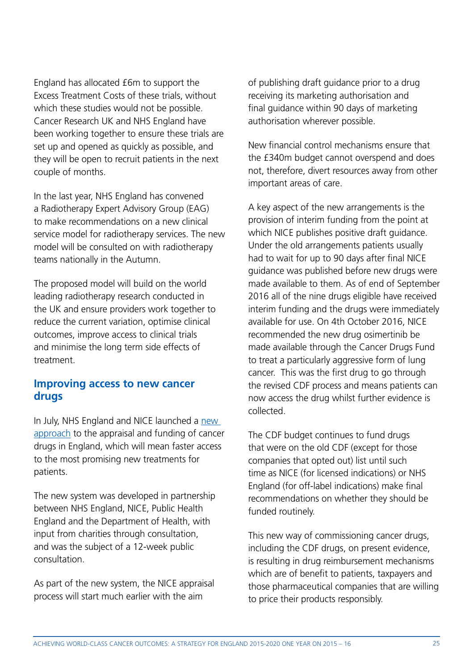England has allocated £6m to support the Excess Treatment Costs of these trials, without which these studies would not be possible. Cancer Research UK and NHS England have been working together to ensure these trials are set up and opened as quickly as possible, and they will be open to recruit patients in the next couple of months.

In the last year, NHS England has convened a Radiotherapy Expert Advisory Group (EAG) to make recommendations on a new clinical service model for radiotherapy services. The new model will be consulted on with radiotherapy teams nationally in the Autumn.

The proposed model will build on the world leading radiotherapy research conducted in the UK and ensure providers work together to reduce the current variation, optimise clinical outcomes, improve access to clinical trials and minimise the long term side effects of treatment.

### **Improving access to new cancer drugs**

In July, NHS England and NICE launched a new [approach](https://www.england.nhs.uk/cancer/cdf/) to the appraisal and funding of cancer drugs in England, which will mean faster access to the most promising new treatments for patients.

The new system was developed in partnership between NHS England, NICE, Public Health England and the Department of Health, with input from charities through consultation, and was the subject of a 12-week public consultation.

As part of the new system, the NICE appraisal process will start much earlier with the aim

of publishing draft guidance prior to a drug receiving its marketing authorisation and final guidance within 90 days of marketing authorisation wherever possible.

New financial control mechanisms ensure that the £340m budget cannot overspend and does not, therefore, divert resources away from other important areas of care.

A key aspect of the new arrangements is the provision of interim funding from the point at which NICE publishes positive draft guidance. Under the old arrangements patients usually had to wait for up to 90 days after final NICE guidance was published before new drugs were made available to them. As of end of September 2016 all of the nine drugs eligible have received interim funding and the drugs were immediately available for use. On 4th October 2016, NICE recommended the new drug osimertinib be made available through the Cancer Drugs Fund to treat a particularly aggressive form of lung cancer. This was the first drug to go through the revised CDF process and means patients can now access the drug whilst further evidence is collected.

The CDF budget continues to fund drugs that were on the old CDF (except for those companies that opted out) list until such time as NICE (for licensed indications) or NHS England (for off-label indications) make final recommendations on whether they should be funded routinely.

This new way of commissioning cancer drugs, including the CDF drugs, on present evidence, is resulting in drug reimbursement mechanisms which are of benefit to patients, taxpayers and those pharmaceutical companies that are willing to price their products responsibly.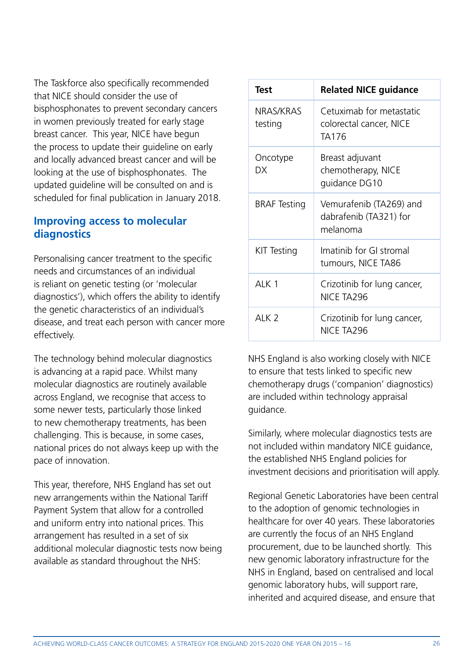The Taskforce also specifically recommended that NICE should consider the use of bisphosphonates to prevent secondary cancers in women previously treated for early stage breast cancer. This year, NICE have begun the process to update their guideline on early and locally advanced breast cancer and will be looking at the use of bisphosphonates. The updated guideline will be consulted on and is scheduled for final publication in January 2018.

#### **Improving access to molecular diagnostics**

Personalising cancer treatment to the specific needs and circumstances of an individual is reliant on genetic testing (or 'molecular diagnostics'), which offers the ability to identify the genetic characteristics of an individual's disease, and treat each person with cancer more effectively.

The technology behind molecular diagnostics is advancing at a rapid pace. Whilst many molecular diagnostics are routinely available across England, we recognise that access to some newer tests, particularly those linked to new chemotherapy treatments, has been challenging. This is because, in some cases, national prices do not always keep up with the pace of innovation.

This year, therefore, NHS England has set out new arrangements within the National Tariff Payment System that allow for a controlled and uniform entry into national prices. This arrangement has resulted in a set of six additional molecular diagnostic tests now being available as standard throughout the NHS:

| Test                 | <b>Related NICE guidance</b>                                  |
|----------------------|---------------------------------------------------------------|
| NRAS/KRAS<br>testing | Cetuximab for metastatic<br>colorectal cancer, NICE<br>TA176  |
| Oncotype<br>DХ       | Breast adjuvant<br>chemotherapy, NICE<br>quidance DG10        |
| <b>BRAF</b> Testing  | Vemurafenib (TA269) and<br>dabrafenib (TA321) for<br>melanoma |
| KIT Testing          | Imatinib for GI stromal<br>tumours, NICE TA86                 |
| ALK <sub>1</sub>     | Crizotinib for lung cancer,<br>NICE TA296                     |
| ALK <sub>2</sub>     | Crizotinib for lung cancer,<br>NICE TA296                     |

NHS England is also working closely with NICE to ensure that tests linked to specific new chemotherapy drugs ('companion' diagnostics) are included within technology appraisal guidance.

Similarly, where molecular diagnostics tests are not included within mandatory NICE guidance, the established NHS England policies for investment decisions and prioritisation will apply.

Regional Genetic Laboratories have been central to the adoption of genomic technologies in healthcare for over 40 years. These laboratories are currently the focus of an NHS England procurement, due to be launched shortly. This new genomic laboratory infrastructure for the NHS in England, based on centralised and local genomic laboratory hubs, will support rare, inherited and acquired disease, and ensure that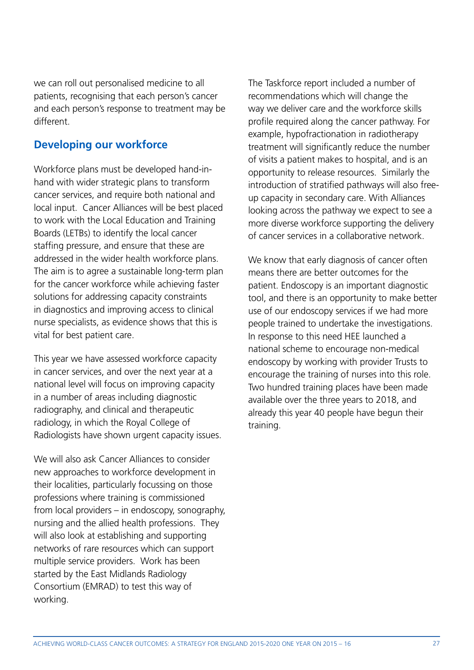we can roll out personalised medicine to all patients, recognising that each person's cancer and each person's response to treatment may be different.

### **Developing our workforce**

Workforce plans must be developed hand-inhand with wider strategic plans to transform cancer services, and require both national and local input. Cancer Alliances will be best placed to work with the Local Education and Training Boards (LETBs) to identify the local cancer staffing pressure, and ensure that these are addressed in the wider health workforce plans. The aim is to agree a sustainable long-term plan for the cancer workforce while achieving faster solutions for addressing capacity constraints in diagnostics and improving access to clinical nurse specialists, as evidence shows that this is vital for best patient care.

This year we have assessed workforce capacity in cancer services, and over the next year at a national level will focus on improving capacity in a number of areas including diagnostic radiography, and clinical and therapeutic radiology, in which the Royal College of Radiologists have shown urgent capacity issues.

We will also ask Cancer Alliances to consider new approaches to workforce development in their localities, particularly focussing on those professions where training is commissioned from local providers – in endoscopy, sonography, nursing and the allied health professions. They will also look at establishing and supporting networks of rare resources which can support multiple service providers. Work has been started by the East Midlands Radiology Consortium (EMRAD) to test this way of working.

The Taskforce report included a number of recommendations which will change the way we deliver care and the workforce skills profile required along the cancer pathway. For example, hypofractionation in radiotherapy treatment will significantly reduce the number of visits a patient makes to hospital, and is an opportunity to release resources. Similarly the introduction of stratified pathways will also freeup capacity in secondary care. With Alliances looking across the pathway we expect to see a more diverse workforce supporting the delivery of cancer services in a collaborative network.

We know that early diagnosis of cancer often means there are better outcomes for the patient. Endoscopy is an important diagnostic tool, and there is an opportunity to make better use of our endoscopy services if we had more people trained to undertake the investigations. In response to this need HEE launched a national scheme to encourage non-medical endoscopy by working with provider Trusts to encourage the training of nurses into this role. Two hundred training places have been made available over the three years to 2018, and already this year 40 people have begun their training.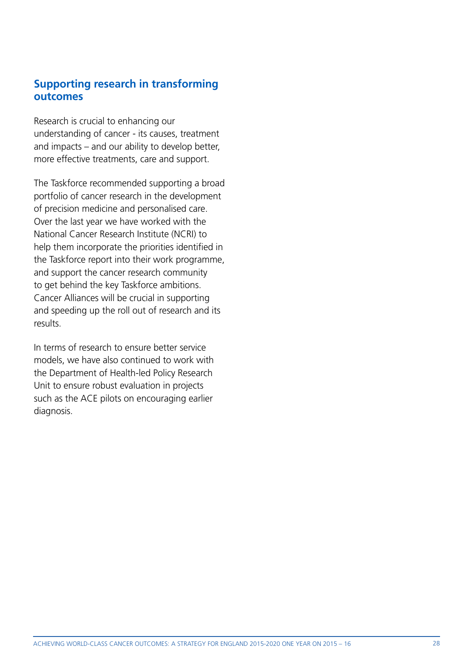### **Supporting research in transforming outcomes**

Research is crucial to enhancing our understanding of cancer - its causes, treatment and impacts – and our ability to develop better, more effective treatments, care and support.

The Taskforce recommended supporting a broad portfolio of cancer research in the development of precision medicine and personalised care. Over the last year we have worked with the National Cancer Research Institute (NCRI) to help them incorporate the priorities identified in the Taskforce report into their work programme, and support the cancer research community to get behind the key Taskforce ambitions. Cancer Alliances will be crucial in supporting and speeding up the roll out of research and its results.

In terms of research to ensure better service models, we have also continued to work with the Department of Health-led Policy Research Unit to ensure robust evaluation in projects such as the ACE pilots on encouraging earlier diagnosis.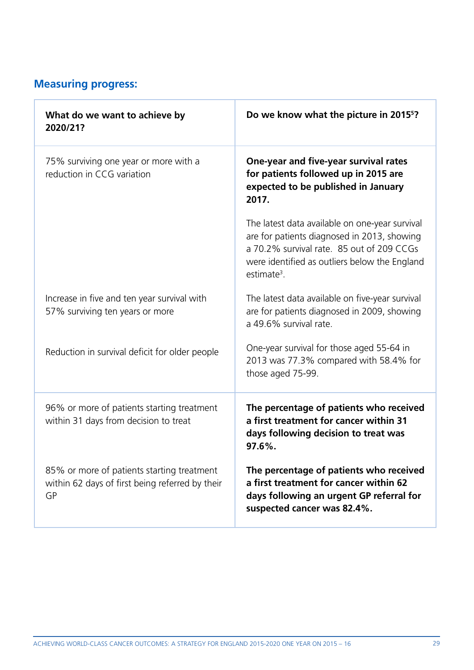## **Measuring progress:**

| What do we want to achieve by<br>2020/21?                                                           | Do we know what the picture in 2015 <sup>5</sup> ?                                                                                                                                                           |
|-----------------------------------------------------------------------------------------------------|--------------------------------------------------------------------------------------------------------------------------------------------------------------------------------------------------------------|
| 75% surviving one year or more with a<br>reduction in CCG variation                                 | One-year and five-year survival rates<br>for patients followed up in 2015 are<br>expected to be published in January<br>2017.                                                                                |
|                                                                                                     | The latest data available on one-year survival<br>are for patients diagnosed in 2013, showing<br>a 70.2% survival rate. 85 out of 209 CCGs<br>were identified as outliers below the England<br>$estimate3$ . |
| Increase in five and ten year survival with<br>57% surviving ten years or more                      | The latest data available on five-year survival<br>are for patients diagnosed in 2009, showing<br>a 49.6% survival rate.                                                                                     |
| Reduction in survival deficit for older people                                                      | One-year survival for those aged 55-64 in<br>2013 was 77.3% compared with 58.4% for<br>those aged 75-99.                                                                                                     |
| 96% or more of patients starting treatment<br>within 31 days from decision to treat                 | The percentage of patients who received<br>a first treatment for cancer within 31<br>days following decision to treat was<br>97.6%.                                                                          |
| 85% or more of patients starting treatment<br>within 62 days of first being referred by their<br>GP | The percentage of patients who received<br>a first treatment for cancer within 62<br>days following an urgent GP referral for<br>suspected cancer was 82.4%.                                                 |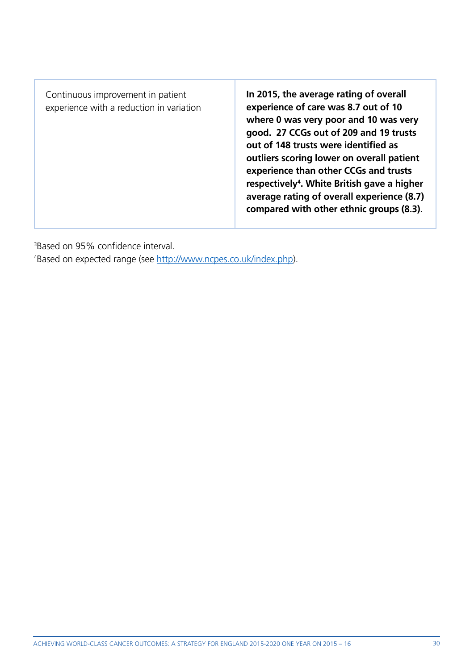Continuous improvement in patient experience with a reduction in variation **In 2015, the average rating of overall experience of care was 8.7 out of 10 where 0 was very poor and 10 was very good. 27 CCGs out of 209 and 19 trusts out of 148 trusts were identified as outliers scoring lower on overall patient experience than other CCGs and trusts respectively4 . White British gave a higher average rating of overall experience (8.7) compared with other ethnic groups (8.3).** 

3 Based on 95% confidence interval.

4Based on expected range (see <http://www.ncpes.co.uk/index.php>).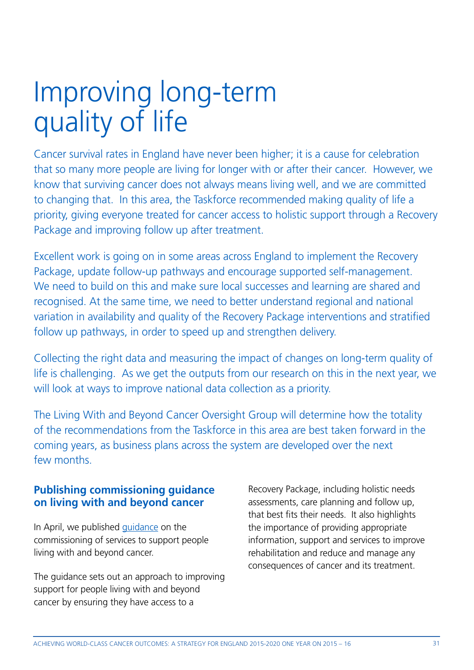# <span id="page-30-0"></span>Improving long-term quality of life

Cancer survival rates in England have never been higher; it is a cause for celebration that so many more people are living for longer with or after their cancer. However, we know that surviving cancer does not always means living well, and we are committed to changing that. In this area, the Taskforce recommended making quality of life a priority, giving everyone treated for cancer access to holistic support through a Recovery Package and improving follow up after treatment.

Excellent work is going on in some areas across England to implement the Recovery Package, update follow-up pathways and encourage supported self-management. We need to build on this and make sure local successes and learning are shared and recognised. At the same time, we need to better understand regional and national variation in availability and quality of the Recovery Package interventions and stratified follow up pathways, in order to speed up and strengthen delivery.

Collecting the right data and measuring the impact of changes on long-term quality of life is challenging. As we get the outputs from our research on this in the next year, we will look at ways to improve national data collection as a priority.

The Living With and Beyond Cancer Oversight Group will determine how the totality of the recommendations from the Taskforce in this area are best taken forward in the coming years, as business plans across the system are developed over the next few months.

## **Publishing commissioning guidance on living with and beyond cancer**

In April, we published [guidance](https://www.england.nhs.uk/wp-content/uploads/2016/04/cancer-guid-v1.pdf) on the commissioning of services to support people living with and beyond cancer.

The guidance sets out an approach to improving support for people living with and beyond cancer by ensuring they have access to a

Recovery Package, including holistic needs assessments, care planning and follow up, that best fits their needs. It also highlights the importance of providing appropriate information, support and services to improve rehabilitation and reduce and manage any consequences of cancer and its treatment.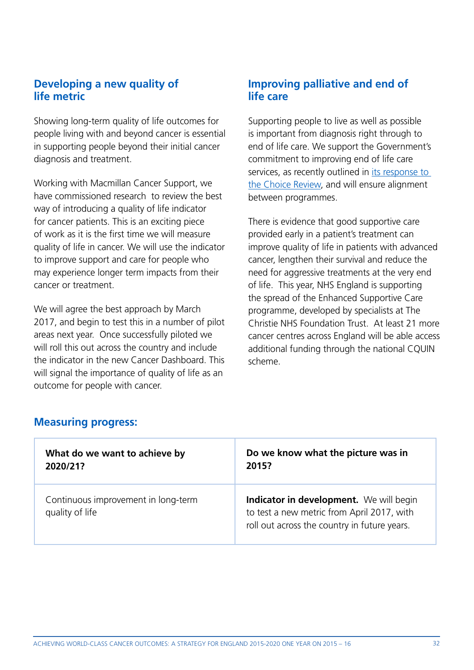### **Developing a new quality of life metric**

Showing long-term quality of life outcomes for people living with and beyond cancer is essential in supporting people beyond their initial cancer diagnosis and treatment.

Working with Macmillan Cancer Support, we have commissioned research to review the best way of introducing a quality of life indicator for cancer patients. This is an exciting piece of work as it is the first time we will measure quality of life in cancer. We will use the indicator to improve support and care for people who may experience longer term impacts from their cancer or treatment.

We will agree the best approach by March 2017, and begin to test this in a number of pilot areas next year. Once successfully piloted we will roll this out across the country and include the indicator in the new Cancer Dashboard. This will signal the importance of quality of life as an outcome for people with cancer.

### **Improving palliative and end of life care**

Supporting people to live as well as possible is important from diagnosis right through to end of life care. We support the Government's commitment to improving end of life care services, as recently outlined in [its response to](https://www.gov.uk/government/uploads/system/uploads/attachment_data/file/536326/choice-response.pdf)  [the Choice Review,](https://www.gov.uk/government/uploads/system/uploads/attachment_data/file/536326/choice-response.pdf) and will ensure alignment between programmes.

There is evidence that good supportive care provided early in a patient's treatment can improve quality of life in patients with advanced cancer, lengthen their survival and reduce the need for aggressive treatments at the very end of life. This year, NHS England is supporting the spread of the Enhanced Supportive Care programme, developed by specialists at The Christie NHS Foundation Trust. At least 21 more cancer centres across England will be able access additional funding through the national CQUIN scheme.

#### **Measuring progress:**

| What do we want to achieve by                          | Do we know what the picture was in                                                                                                    |
|--------------------------------------------------------|---------------------------------------------------------------------------------------------------------------------------------------|
| 2020/21?                                               | 2015?                                                                                                                                 |
| Continuous improvement in long-term<br>quality of life | Indicator in development. We will begin<br>to test a new metric from April 2017, with<br>roll out across the country in future years. |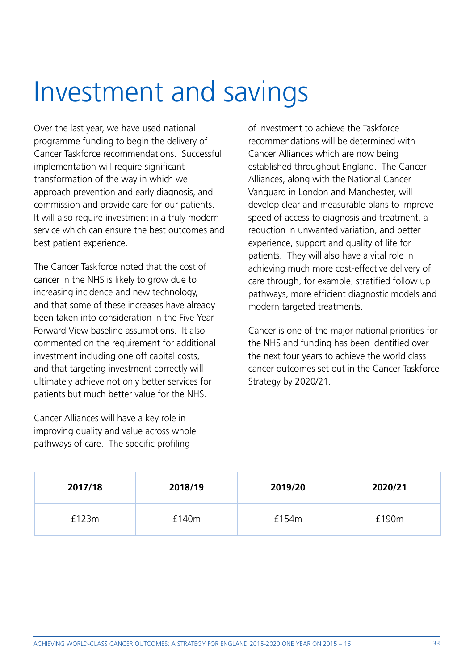## <span id="page-32-0"></span>Investment and savings

Over the last year, we have used national programme funding to begin the delivery of Cancer Taskforce recommendations. Successful implementation will require significant transformation of the way in which we approach prevention and early diagnosis, and commission and provide care for our patients. It will also require investment in a truly modern service which can ensure the best outcomes and best patient experience.

The Cancer Taskforce noted that the cost of cancer in the NHS is likely to grow due to increasing incidence and new technology, and that some of these increases have already been taken into consideration in the Five Year Forward View baseline assumptions. It also commented on the requirement for additional investment including one off capital costs, and that targeting investment correctly will ultimately achieve not only better services for patients but much better value for the NHS.

Cancer Alliances will have a key role in improving quality and value across whole pathways of care. The specific profiling

of investment to achieve the Taskforce recommendations will be determined with Cancer Alliances which are now being established throughout England. The Cancer Alliances, along with the National Cancer Vanguard in London and Manchester, will develop clear and measurable plans to improve speed of access to diagnosis and treatment, a reduction in unwanted variation, and better experience, support and quality of life for patients. They will also have a vital role in achieving much more cost-effective delivery of care through, for example, stratified follow up pathways, more efficient diagnostic models and modern targeted treatments.

Cancer is one of the major national priorities for the NHS and funding has been identified over the next four years to achieve the world class cancer outcomes set out in the Cancer Taskforce Strategy by 2020/21.

| 2017/18 | 2018/19 | 2019/20 | 2020/21 |
|---------|---------|---------|---------|
| £123m   | £140m   | £154m   | £190m   |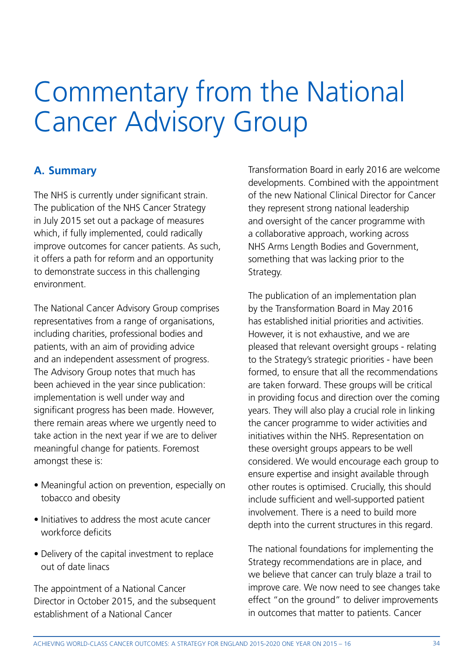## <span id="page-33-0"></span>Commentary from the National Cancer Advisory Group

## **A. Summary**

The NHS is currently under significant strain. The publication of the NHS Cancer Strategy in July 2015 set out a package of measures which, if fully implemented, could radically improve outcomes for cancer patients. As such, it offers a path for reform and an opportunity to demonstrate success in this challenging environment.

The National Cancer Advisory Group comprises representatives from a range of organisations, including charities, professional bodies and patients, with an aim of providing advice and an independent assessment of progress. The Advisory Group notes that much has been achieved in the year since publication: implementation is well under way and significant progress has been made. However, there remain areas where we urgently need to take action in the next year if we are to deliver meaningful change for patients. Foremost amongst these is:

- Meaningful action on prevention, especially on tobacco and obesity
- Initiatives to address the most acute cancer workforce deficits
- Delivery of the capital investment to replace out of date linacs

The appointment of a National Cancer Director in October 2015, and the subsequent establishment of a National Cancer

Transformation Board in early 2016 are welcome developments. Combined with the appointment of the new National Clinical Director for Cancer they represent strong national leadership and oversight of the cancer programme with a collaborative approach, working across NHS Arms Length Bodies and Government, something that was lacking prior to the Strategy.

The publication of an implementation plan by the Transformation Board in May 2016 has established initial priorities and activities. However, it is not exhaustive, and we are pleased that relevant oversight groups - relating to the Strategy's strategic priorities - have been formed, to ensure that all the recommendations are taken forward. These groups will be critical in providing focus and direction over the coming years. They will also play a crucial role in linking the cancer programme to wider activities and initiatives within the NHS. Representation on these oversight groups appears to be well considered. We would encourage each group to ensure expertise and insight available through other routes is optimised. Crucially, this should include sufficient and well-supported patient involvement. There is a need to build more depth into the current structures in this regard.

The national foundations for implementing the Strategy recommendations are in place, and we believe that cancer can truly blaze a trail to improve care. We now need to see changes take effect "on the ground" to deliver improvements in outcomes that matter to patients. Cancer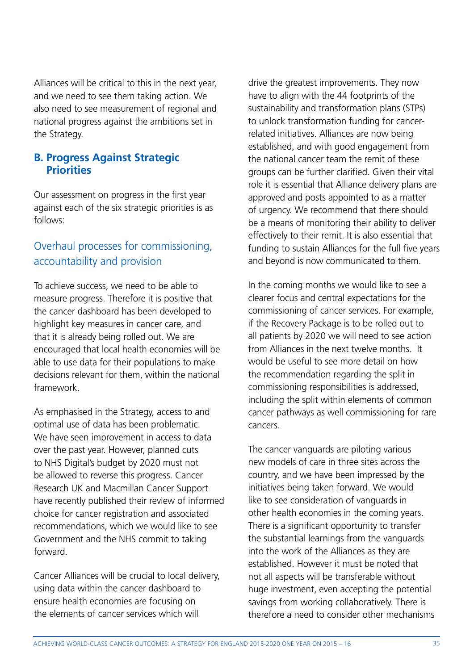Alliances will be critical to this in the next year, and we need to see them taking action. We also need to see measurement of regional and national progress against the ambitions set in the Strategy.

### **B. Progress Against Strategic Priorities**

Our assessment on progress in the first year against each of the six strategic priorities is as follows:

## Overhaul processes for commissioning, accountability and provision

To achieve success, we need to be able to measure progress. Therefore it is positive that the cancer dashboard has been developed to highlight key measures in cancer care, and that it is already being rolled out. We are encouraged that local health economies will be able to use data for their populations to make decisions relevant for them, within the national framework.

As emphasised in the Strategy, access to and optimal use of data has been problematic. We have seen improvement in access to data over the past year. However, planned cuts to NHS Digital's budget by 2020 must not be allowed to reverse this progress. Cancer Research UK and Macmillan Cancer Support have recently published their review of informed choice for cancer registration and associated recommendations, which we would like to see Government and the NHS commit to taking forward.

Cancer Alliances will be crucial to local delivery, using data within the cancer dashboard to ensure health economies are focusing on the elements of cancer services which will

drive the greatest improvements. They now have to align with the 44 footprints of the sustainability and transformation plans (STPs) to unlock transformation funding for cancerrelated initiatives. Alliances are now being established, and with good engagement from the national cancer team the remit of these groups can be further clarified. Given their vital role it is essential that Alliance delivery plans are approved and posts appointed to as a matter of urgency. We recommend that there should be a means of monitoring their ability to deliver effectively to their remit. It is also essential that funding to sustain Alliances for the full five years and beyond is now communicated to them.

In the coming months we would like to see a clearer focus and central expectations for the commissioning of cancer services. For example, if the Recovery Package is to be rolled out to all patients by 2020 we will need to see action from Alliances in the next twelve months. It would be useful to see more detail on how the recommendation regarding the split in commissioning responsibilities is addressed, including the split within elements of common cancer pathways as well commissioning for rare cancers.

The cancer vanguards are piloting various new models of care in three sites across the country, and we have been impressed by the initiatives being taken forward. We would like to see consideration of vanguards in other health economies in the coming years. There is a significant opportunity to transfer the substantial learnings from the vanguards into the work of the Alliances as they are established. However it must be noted that not all aspects will be transferable without huge investment, even accepting the potential savings from working collaboratively. There is therefore a need to consider other mechanisms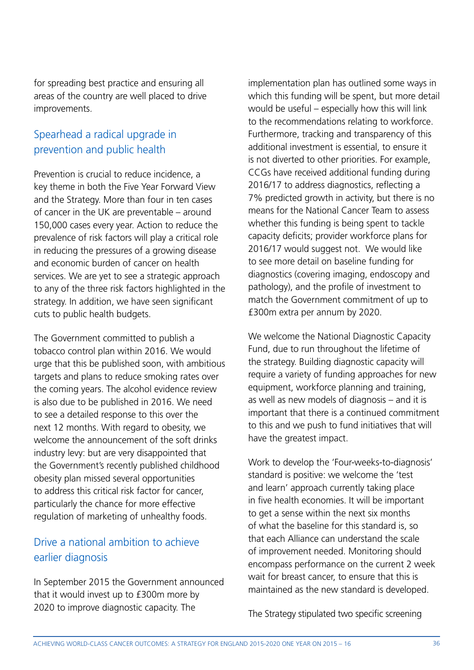for spreading best practice and ensuring all areas of the country are well placed to drive improvements.

## Spearhead a radical upgrade in prevention and public health

Prevention is crucial to reduce incidence, a key theme in both the Five Year Forward View and the Strategy. More than four in ten cases of cancer in the UK are preventable – around 150,000 cases every year. Action to reduce the prevalence of risk factors will play a critical role in reducing the pressures of a growing disease and economic burden of cancer on health services. We are yet to see a strategic approach to any of the three risk factors highlighted in the strategy. In addition, we have seen significant cuts to public health budgets.

The Government committed to publish a tobacco control plan within 2016. We would urge that this be published soon, with ambitious targets and plans to reduce smoking rates over the coming years. The alcohol evidence review is also due to be published in 2016. We need to see a detailed response to this over the next 12 months. With regard to obesity, we welcome the announcement of the soft drinks industry levy: but are very disappointed that the Government's recently published childhood obesity plan missed several opportunities to address this critical risk factor for cancer, particularly the chance for more effective regulation of marketing of unhealthy foods.

## Drive a national ambition to achieve earlier diagnosis

In September 2015 the Government announced that it would invest up to £300m more by 2020 to improve diagnostic capacity. The

implementation plan has outlined some ways in which this funding will be spent, but more detail would be useful – especially how this will link to the recommendations relating to workforce. Furthermore, tracking and transparency of this additional investment is essential, to ensure it is not diverted to other priorities. For example, CCGs have received additional funding during 2016/17 to address diagnostics, reflecting a 7% predicted growth in activity, but there is no means for the National Cancer Team to assess whether this funding is being spent to tackle capacity deficits; provider workforce plans for 2016/17 would suggest not. We would like to see more detail on baseline funding for diagnostics (covering imaging, endoscopy and pathology), and the profile of investment to match the Government commitment of up to £300m extra per annum by 2020.

We welcome the National Diagnostic Capacity Fund, due to run throughout the lifetime of the strategy. Building diagnostic capacity will require a variety of funding approaches for new equipment, workforce planning and training, as well as new models of diagnosis – and it is important that there is a continued commitment to this and we push to fund initiatives that will have the greatest impact.

Work to develop the 'Four-weeks-to-diagnosis' standard is positive: we welcome the 'test and learn' approach currently taking place in five health economies. It will be important to get a sense within the next six months of what the baseline for this standard is, so that each Alliance can understand the scale of improvement needed. Monitoring should encompass performance on the current 2 week wait for breast cancer, to ensure that this is maintained as the new standard is developed.

The Strategy stipulated two specific screening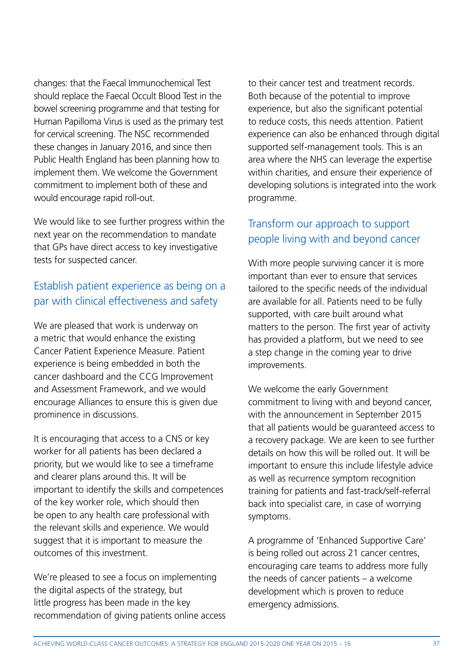changes: that the Faecal Immunochemical Test should replace the Faecal Occult Blood Test in the bowel screening programme and that testing for Human Papilloma Virus is used as the primary test for cervical screening. The NSC recommended these changes in January 2016, and since then Public Health England has been planning how to implement them. We welcome the Government commitment to implement both of these and would encourage rapid roll-out.

We would like to see further progress within the next year on the recommendation to mandate that GPs have direct access to key investigative tests for suspected cancer.

## Establish patient experience as being on a par with clinical effectiveness and safety

We are pleased that work is underway on a metric that would enhance the existing Cancer Patient Experience Measure. Patient experience is being embedded in both the cancer dashboard and the CCG Improvement and Assessment Framework, and we would encourage Alliances to ensure this is given due prominence in discussions.

It is encouraging that access to a CNS or key worker for all patients has been declared a priority, but we would like to see a timeframe and clearer plans around this. It will be important to identify the skills and competences of the key worker role, which should then be open to any health care professional with the relevant skills and experience. We would suggest that it is important to measure the outcomes of this investment.

We're pleased to see a focus on implementing the digital aspects of the strategy, but little progress has been made in the key recommendation of giving patients online access to their cancer test and treatment records. Both because of the potential to improve experience, but also the significant potential to reduce costs, this needs attention. Patient experience can also be enhanced through digital supported self-management tools. This is an area where the NHS can leverage the expertise within charities, and ensure their experience of developing solutions is integrated into the work programme.

## Transform our approach to support people living with and beyond cancer

With more people surviving cancer it is more important than ever to ensure that services tailored to the specific needs of the individual are available for all. Patients need to be fully supported, with care built around what matters to the person. The first year of activity has provided a platform, but we need to see a step change in the coming year to drive improvements.

We welcome the early Government commitment to living with and beyond cancer, with the announcement in September 2015 that all patients would be guaranteed access to a recovery package. We are keen to see further details on how this will be rolled out. It will be important to ensure this include lifestyle advice as well as recurrence symptom recognition training for patients and fast-track/self-referral back into specialist care, in case of worrying symptoms.

A programme of 'Enhanced Supportive Care' is being rolled out across 21 cancer centres, encouraging care teams to address more fully the needs of cancer patients – a welcome development which is proven to reduce emergency admissions.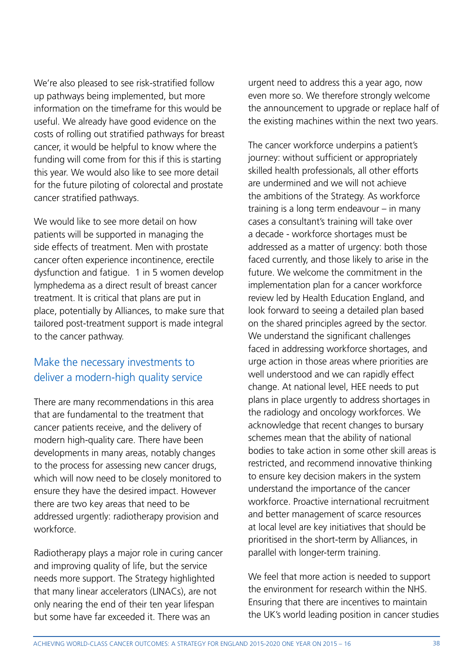We're also pleased to see risk-stratified follow up pathways being implemented, but more information on the timeframe for this would be useful. We already have good evidence on the costs of rolling out stratified pathways for breast cancer, it would be helpful to know where the funding will come from for this if this is starting this year. We would also like to see more detail for the future piloting of colorectal and prostate cancer stratified pathways.

We would like to see more detail on how patients will be supported in managing the side effects of treatment. Men with prostate cancer often experience incontinence, erectile dysfunction and fatigue. 1 in 5 women develop lymphedema as a direct result of breast cancer treatment. It is critical that plans are put in place, potentially by Alliances, to make sure that tailored post-treatment support is made integral to the cancer pathway.

## Make the necessary investments to deliver a modern-high quality service

There are many recommendations in this area that are fundamental to the treatment that cancer patients receive, and the delivery of modern high-quality care. There have been developments in many areas, notably changes to the process for assessing new cancer drugs, which will now need to be closely monitored to ensure they have the desired impact. However there are two key areas that need to be addressed urgently: radiotherapy provision and workforce.

Radiotherapy plays a major role in curing cancer and improving quality of life, but the service needs more support. The Strategy highlighted that many linear accelerators (LINACs), are not only nearing the end of their ten year lifespan but some have far exceeded it. There was an

urgent need to address this a year ago, now even more so. We therefore strongly welcome the announcement to upgrade or replace half of the existing machines within the next two years.

The cancer workforce underpins a patient's journey: without sufficient or appropriately skilled health professionals, all other efforts are undermined and we will not achieve the ambitions of the Strategy. As workforce training is a long term endeavour – in many cases a consultant's training will take over a decade - workforce shortages must be addressed as a matter of urgency: both those faced currently, and those likely to arise in the future. We welcome the commitment in the implementation plan for a cancer workforce review led by Health Education England, and look forward to seeing a detailed plan based on the shared principles agreed by the sector. We understand the significant challenges faced in addressing workforce shortages, and urge action in those areas where priorities are well understood and we can rapidly effect change. At national level, HEE needs to put plans in place urgently to address shortages in the radiology and oncology workforces. We acknowledge that recent changes to bursary schemes mean that the ability of national bodies to take action in some other skill areas is restricted, and recommend innovative thinking to ensure key decision makers in the system understand the importance of the cancer workforce. Proactive international recruitment and better management of scarce resources at local level are key initiatives that should be prioritised in the short-term by Alliances, in parallel with longer-term training.

We feel that more action is needed to support the environment for research within the NHS. Ensuring that there are incentives to maintain the UK's world leading position in cancer studies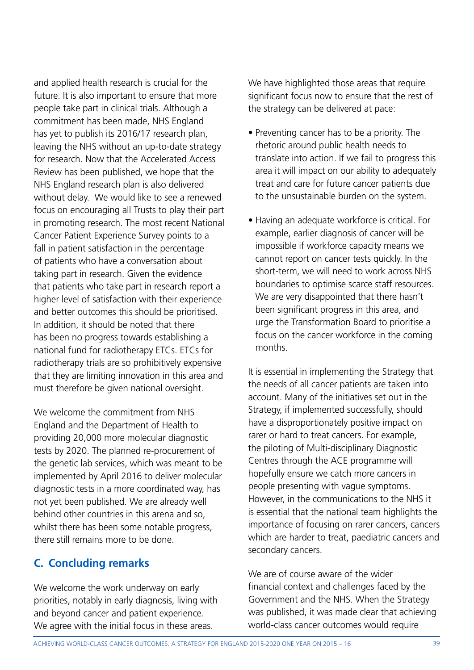and applied health research is crucial for the future. It is also important to ensure that more people take part in clinical trials. Although a commitment has been made, NHS England has yet to publish its 2016/17 research plan, leaving the NHS without an up-to-date strategy for research. Now that the Accelerated Access Review has been published, we hope that the NHS England research plan is also delivered without delay. We would like to see a renewed focus on encouraging all Trusts to play their part in promoting research. The most recent National Cancer Patient Experience Survey points to a fall in patient satisfaction in the percentage of patients who have a conversation about taking part in research. Given the evidence that patients who take part in research report a higher level of satisfaction with their experience and better outcomes this should be prioritised. In addition, it should be noted that there has been no progress towards establishing a national fund for radiotherapy ETCs. ETCs for radiotherapy trials are so prohibitively expensive that they are limiting innovation in this area and must therefore be given national oversight.

We welcome the commitment from NHS England and the Department of Health to providing 20,000 more molecular diagnostic tests by 2020. The planned re-procurement of the genetic lab services, which was meant to be implemented by April 2016 to deliver molecular diagnostic tests in a more coordinated way, has not yet been published. We are already well behind other countries in this arena and so, whilst there has been some notable progress. there still remains more to be done.

### **C. Concluding remarks**

We welcome the work underway on early priorities, notably in early diagnosis, living with and beyond cancer and patient experience. We agree with the initial focus in these areas.

We have highlighted those areas that require significant focus now to ensure that the rest of the strategy can be delivered at pace:

- Preventing cancer has to be a priority. The rhetoric around public health needs to translate into action. If we fail to progress this area it will impact on our ability to adequately treat and care for future cancer patients due to the unsustainable burden on the system.
- Having an adequate workforce is critical. For example, earlier diagnosis of cancer will be impossible if workforce capacity means we cannot report on cancer tests quickly. In the short-term, we will need to work across NHS boundaries to optimise scarce staff resources. We are very disappointed that there hasn't been significant progress in this area, and urge the Transformation Board to prioritise a focus on the cancer workforce in the coming months.

It is essential in implementing the Strategy that the needs of all cancer patients are taken into account. Many of the initiatives set out in the Strategy, if implemented successfully, should have a disproportionately positive impact on rarer or hard to treat cancers. For example, the piloting of Multi-disciplinary Diagnostic Centres through the ACE programme will hopefully ensure we catch more cancers in people presenting with vague symptoms. However, in the communications to the NHS it is essential that the national team highlights the importance of focusing on rarer cancers, cancers which are harder to treat, paediatric cancers and secondary cancers.

We are of course aware of the wider financial context and challenges faced by the Government and the NHS. When the Strategy was published, it was made clear that achieving world-class cancer outcomes would require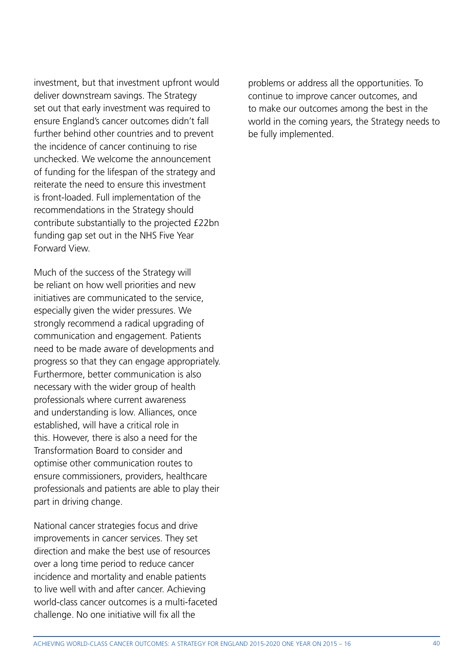investment, but that investment upfront would deliver downstream savings. The Strategy set out that early investment was required to ensure England's cancer outcomes didn't fall further behind other countries and to prevent the incidence of cancer continuing to rise unchecked. We welcome the announcement of funding for the lifespan of the strategy and reiterate the need to ensure this investment is front-loaded. Full implementation of the recommendations in the Strategy should contribute substantially to the projected £22bn funding gap set out in the NHS Five Year Forward View.

Much of the success of the Strategy will be reliant on how well priorities and new initiatives are communicated to the service, especially given the wider pressures. We strongly recommend a radical upgrading of communication and engagement. Patients need to be made aware of developments and progress so that they can engage appropriately. Furthermore, better communication is also necessary with the wider group of health professionals where current awareness and understanding is low. Alliances, once established, will have a critical role in this. However, there is also a need for the Transformation Board to consider and optimise other communication routes to ensure commissioners, providers, healthcare professionals and patients are able to play their part in driving change.

National cancer strategies focus and drive improvements in cancer services. They set direction and make the best use of resources over a long time period to reduce cancer incidence and mortality and enable patients to live well with and after cancer. Achieving world-class cancer outcomes is a multi-faceted challenge. No one initiative will fix all the

problems or address all the opportunities. To continue to improve cancer outcomes, and to make our outcomes among the best in the world in the coming years, the Strategy needs to be fully implemented.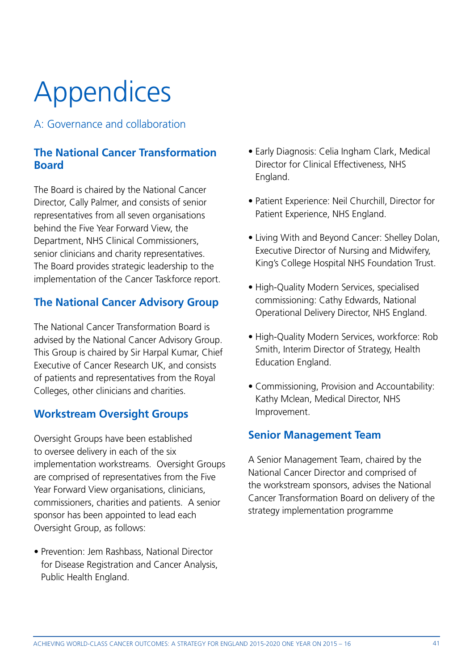# <span id="page-40-0"></span>Appendices

A: Governance and collaboration

## **The National Cancer Transformation Board**

The Board is chaired by the National Cancer Director, Cally Palmer, and consists of senior representatives from all seven organisations behind the Five Year Forward View, the Department, NHS Clinical Commissioners, senior clinicians and charity representatives. The Board provides strategic leadership to the implementation of the Cancer Taskforce report.

## **The National Cancer Advisory Group**

The National Cancer Transformation Board is advised by the National Cancer Advisory Group. This Group is chaired by Sir Harpal Kumar, Chief Executive of Cancer Research UK, and consists of patients and representatives from the Royal Colleges, other clinicians and charities.

## **Workstream Oversight Groups**

Oversight Groups have been established to oversee delivery in each of the six implementation workstreams. Oversight Groups are comprised of representatives from the Five Year Forward View organisations, clinicians, commissioners, charities and patients. A senior sponsor has been appointed to lead each Oversight Group, as follows:

• Prevention: Jem Rashbass, National Director for Disease Registration and Cancer Analysis, Public Health England.

- Early Diagnosis: Celia Ingham Clark, Medical Director for Clinical Effectiveness, NHS England.
- Patient Experience: Neil Churchill, Director for Patient Experience, NHS England.
- Living With and Beyond Cancer: Shelley Dolan, Executive Director of Nursing and Midwifery, King's College Hospital NHS Foundation Trust.
- High-Quality Modern Services, specialised commissioning: Cathy Edwards, National Operational Delivery Director, NHS England.
- High-Quality Modern Services, workforce: Rob Smith, Interim Director of Strategy, Health Education England.
- Commissioning, Provision and Accountability: Kathy Mclean, Medical Director, NHS Improvement.

## **Senior Management Team**

A Senior Management Team, chaired by the National Cancer Director and comprised of the workstream sponsors, advises the National Cancer Transformation Board on delivery of the strategy implementation programme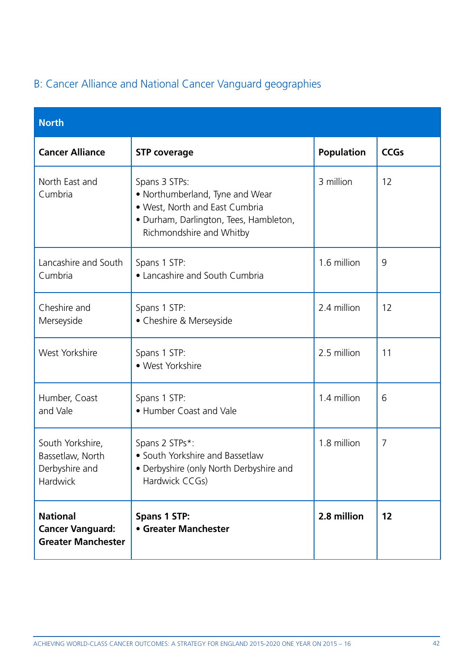## B: Cancer Alliance and National Cancer Vanguard geographies

| <b>North</b>                                                              |                                                                                                                                                          |                   |             |
|---------------------------------------------------------------------------|----------------------------------------------------------------------------------------------------------------------------------------------------------|-------------------|-------------|
| <b>Cancer Alliance</b>                                                    | <b>STP coverage</b>                                                                                                                                      | <b>Population</b> | <b>CCGs</b> |
| North East and<br>Cumbria                                                 | Spans 3 STPs:<br>• Northumberland, Tyne and Wear<br>. West, North and East Cumbria<br>· Durham, Darlington, Tees, Hambleton,<br>Richmondshire and Whitby | 3 million         | 12          |
| Lancashire and South<br>Cumbria                                           | Spans 1 STP:<br>• Lancashire and South Cumbria                                                                                                           | 1.6 million       | 9           |
| Cheshire and<br>Merseyside                                                | Spans 1 STP:<br>• Cheshire & Merseyside                                                                                                                  | 2.4 million       | 12          |
| West Yorkshire                                                            | Spans 1 STP:<br>• West Yorkshire                                                                                                                         | 2.5 million       | 11          |
| Humber, Coast<br>and Vale                                                 | Spans 1 STP:<br>• Humber Coast and Vale                                                                                                                  | 1.4 million       | 6           |
| South Yorkshire,<br>Bassetlaw, North<br>Derbyshire and<br><b>Hardwick</b> | Spans 2 STPs*:<br>• South Yorkshire and Bassetlaw<br>• Derbyshire (only North Derbyshire and<br>Hardwick CCGs)                                           | 1.8 million       | 7           |
| <b>National</b><br><b>Cancer Vanguard:</b><br><b>Greater Manchester</b>   | Spans 1 STP:<br>• Greater Manchester                                                                                                                     | 2.8 million       | 12          |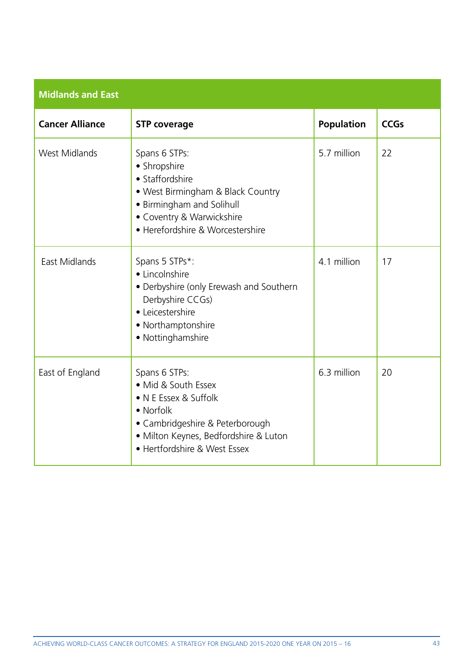| <b>Midlands and East</b> |                                                                                                                                                                                        |                   |             |
|--------------------------|----------------------------------------------------------------------------------------------------------------------------------------------------------------------------------------|-------------------|-------------|
| <b>Cancer Alliance</b>   | <b>STP coverage</b>                                                                                                                                                                    | <b>Population</b> | <b>CCGs</b> |
| <b>West Midlands</b>     | Spans 6 STPs:<br>• Shropshire<br>• Staffordshire<br>. West Birmingham & Black Country<br>• Birmingham and Solihull<br>• Coventry & Warwickshire<br>• Herefordshire & Worcestershire    | 5.7 million       | 22          |
| East Midlands            | Spans 5 STPs*:<br>• Lincolnshire<br>• Derbyshire (only Erewash and Southern<br>Derbyshire CCGs)<br>• Leicestershire<br>• Northamptonshire<br>• Nottinghamshire                         | 4.1 million       | 17          |
| East of England          | Spans 6 STPs:<br>• Mid & South Essex<br>• N E Essex & Suffolk<br>• Norfolk<br>• Cambridgeshire & Peterborough<br>· Milton Keynes, Bedfordshire & Luton<br>• Hertfordshire & West Essex | 6.3 million       | 20          |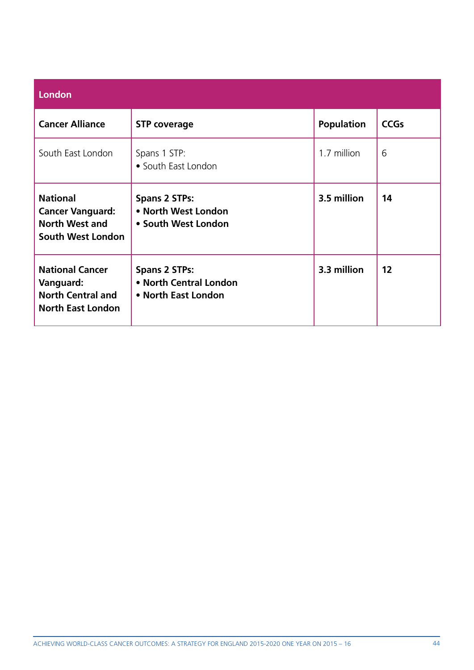| London                                                                                      |                                                                       |                   |             |
|---------------------------------------------------------------------------------------------|-----------------------------------------------------------------------|-------------------|-------------|
| <b>Cancer Alliance</b>                                                                      | <b>STP coverage</b>                                                   | <b>Population</b> | <b>CCGs</b> |
| South East London                                                                           | Spans 1 STP:<br>• South East London                                   | 1.7 million       | 6           |
| <b>National</b><br><b>Cancer Vanguard:</b><br>North West and<br>South West London           | <b>Spans 2 STPs:</b><br>• North West London<br>• South West London    | 3.5 million       | 14          |
| <b>National Cancer</b><br>Vanguard:<br><b>North Central and</b><br><b>North East London</b> | <b>Spans 2 STPs:</b><br>• North Central London<br>• North East London | 3.3 million       | 12          |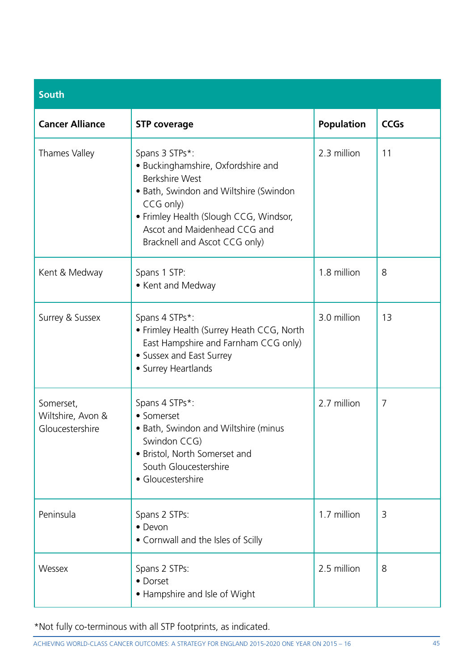| <b>South</b>                                      |                                                                                                                                                                                                                                                 |                   |             |
|---------------------------------------------------|-------------------------------------------------------------------------------------------------------------------------------------------------------------------------------------------------------------------------------------------------|-------------------|-------------|
| <b>Cancer Alliance</b>                            | <b>STP coverage</b>                                                                                                                                                                                                                             | <b>Population</b> | <b>CCGs</b> |
| Thames Valley                                     | Spans 3 STPs*:<br>• Buckinghamshire, Oxfordshire and<br><b>Berkshire West</b><br>• Bath, Swindon and Wiltshire (Swindon<br>CCG only)<br>• Frimley Health (Slough CCG, Windsor,<br>Ascot and Maidenhead CCG and<br>Bracknell and Ascot CCG only) | 2.3 million       | 11          |
| Kent & Medway                                     | Spans 1 STP:<br>• Kent and Medway                                                                                                                                                                                                               | 1.8 million       | 8           |
| Surrey & Sussex                                   | Spans 4 STPs*:<br>• Frimley Health (Surrey Heath CCG, North<br>East Hampshire and Farnham CCG only)<br>• Sussex and East Surrey<br>• Surrey Heartlands                                                                                          | 3.0 million       | 13          |
| Somerset,<br>Wiltshire, Avon &<br>Gloucestershire | Spans 4 STPs*:<br>• Somerset<br>• Bath, Swindon and Wiltshire (minus<br>Swindon CCG)<br>• Bristol, North Somerset and<br>South Gloucestershire<br>• Gloucestershire                                                                             | 2.7 million       | 7           |
| Peninsula                                         | Spans 2 STPs:<br>• Devon<br>• Cornwall and the Isles of Scilly                                                                                                                                                                                  | 1.7 million       | 3           |
| Wessex                                            | Spans 2 STPs:<br>• Dorset<br>• Hampshire and Isle of Wight                                                                                                                                                                                      | 2.5 million       | 8           |

\*Not fully co-terminous with all STP footprints, as indicated.